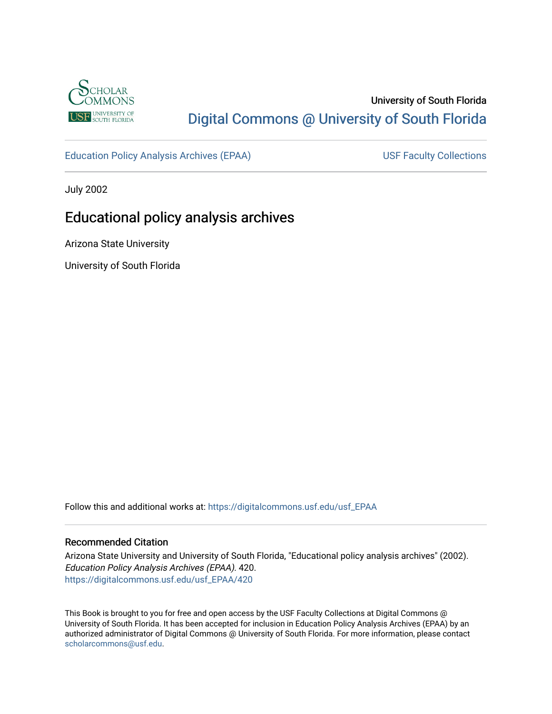

# University of South Florida [Digital Commons @ University of South Florida](https://digitalcommons.usf.edu/)

[Education Policy Analysis Archives \(EPAA\)](https://digitalcommons.usf.edu/usf_EPAA) USF Faculty Collections

July 2002

# Educational policy analysis archives

Arizona State University

University of South Florida

Follow this and additional works at: [https://digitalcommons.usf.edu/usf\\_EPAA](https://digitalcommons.usf.edu/usf_EPAA?utm_source=digitalcommons.usf.edu%2Fusf_EPAA%2F420&utm_medium=PDF&utm_campaign=PDFCoverPages)

### Recommended Citation

Arizona State University and University of South Florida, "Educational policy analysis archives" (2002). Education Policy Analysis Archives (EPAA). 420. [https://digitalcommons.usf.edu/usf\\_EPAA/420](https://digitalcommons.usf.edu/usf_EPAA/420?utm_source=digitalcommons.usf.edu%2Fusf_EPAA%2F420&utm_medium=PDF&utm_campaign=PDFCoverPages)

This Book is brought to you for free and open access by the USF Faculty Collections at Digital Commons @ University of South Florida. It has been accepted for inclusion in Education Policy Analysis Archives (EPAA) by an authorized administrator of Digital Commons @ University of South Florida. For more information, please contact [scholarcommons@usf.edu.](mailto:scholarcommons@usf.edu)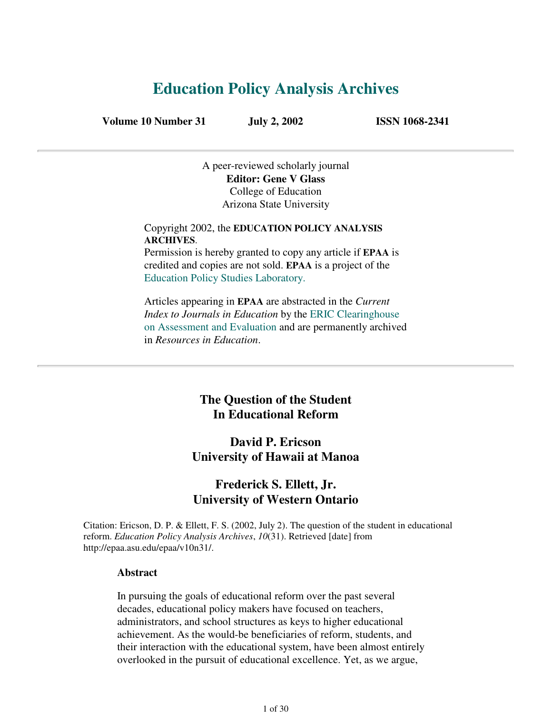# **Education Policy Analysis Archives**

**Volume 10 Number 31 July 2, 2002 ISSN 1068-2341**

A peer-reviewed scholarly journal **Editor: Gene V Glass** College of Education Arizona State University

Copyright 2002, the **EDUCATION POLICY ANALYSIS ARCHIVES**. Permission is hereby granted to copy any article if **EPAA** is

credited and copies are not sold. **EPAA** is a project of the Education Policy Studies Laboratory.

Articles appearing in **EPAA** are abstracted in the *Current Index to Journals in Education* by the ERIC Clearinghouse on Assessment and Evaluation and are permanently archived in *Resources in Education*.

## **The Question of the Student In Educational Reform**

# **David P. Ericson University of Hawaii at Manoa**

## **Frederick S. Ellett, Jr. University of Western Ontario**

Citation: Ericson, D. P. & Ellett, F. S. (2002, July 2). The question of the student in educational reform. *Education Policy Analysis Archives*, *10*(31). Retrieved [date] from http://epaa.asu.edu/epaa/v10n31/.

### **Abstract**

In pursuing the goals of educational reform over the past several decades, educational policy makers have focused on teachers, administrators, and school structures as keys to higher educational achievement. As the would-be beneficiaries of reform, students, and their interaction with the educational system, have been almost entirely overlooked in the pursuit of educational excellence. Yet, as we argue,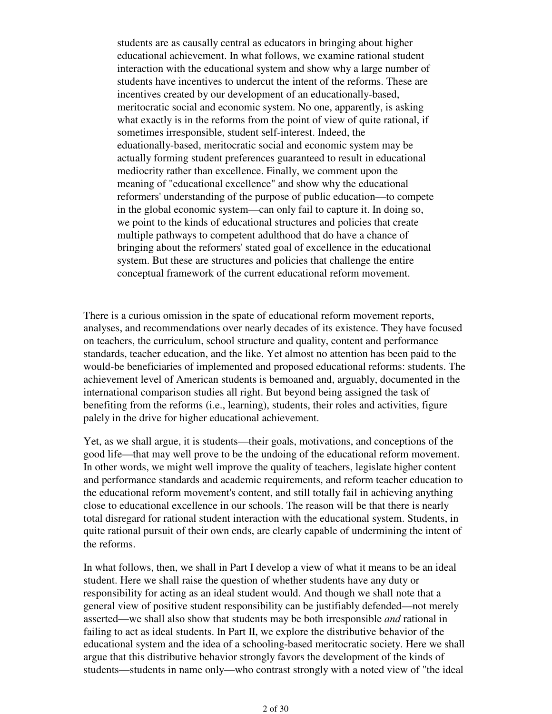students are as causally central as educators in bringing about higher educational achievement. In what follows, we examine rational student interaction with the educational system and show why a large number of students have incentives to undercut the intent of the reforms. These are incentives created by our development of an educationally-based, meritocratic social and economic system. No one, apparently, is asking what exactly is in the reforms from the point of view of quite rational, if sometimes irresponsible, student self-interest. Indeed, the eduationally-based, meritocratic social and economic system may be actually forming student preferences guaranteed to result in educational mediocrity rather than excellence. Finally, we comment upon the meaning of "educational excellence" and show why the educational reformers' understanding of the purpose of public education—to compete in the global economic system—can only fail to capture it. In doing so, we point to the kinds of educational structures and policies that create multiple pathways to competent adulthood that do have a chance of bringing about the reformers' stated goal of excellence in the educational system. But these are structures and policies that challenge the entire conceptual framework of the current educational reform movement.

There is a curious omission in the spate of educational reform movement reports, analyses, and recommendations over nearly decades of its existence. They have focused on teachers, the curriculum, school structure and quality, content and performance standards, teacher education, and the like. Yet almost no attention has been paid to the would-be beneficiaries of implemented and proposed educational reforms: students. The achievement level of American students is bemoaned and, arguably, documented in the international comparison studies all right. But beyond being assigned the task of benefiting from the reforms (i.e., learning), students, their roles and activities, figure palely in the drive for higher educational achievement.

Yet, as we shall argue, it is students—their goals, motivations, and conceptions of the good life—that may well prove to be the undoing of the educational reform movement. In other words, we might well improve the quality of teachers, legislate higher content and performance standards and academic requirements, and reform teacher education to the educational reform movement's content, and still totally fail in achieving anything close to educational excellence in our schools. The reason will be that there is nearly total disregard for rational student interaction with the educational system. Students, in quite rational pursuit of their own ends, are clearly capable of undermining the intent of the reforms.

In what follows, then, we shall in Part I develop a view of what it means to be an ideal student. Here we shall raise the question of whether students have any duty or responsibility for acting as an ideal student would. And though we shall note that a general view of positive student responsibility can be justifiably defended—not merely asserted—we shall also show that students may be both irresponsible *and* rational in failing to act as ideal students. In Part II, we explore the distributive behavior of the educational system and the idea of a schooling-based meritocratic society. Here we shall argue that this distributive behavior strongly favors the development of the kinds of students—students in name only—who contrast strongly with a noted view of "the ideal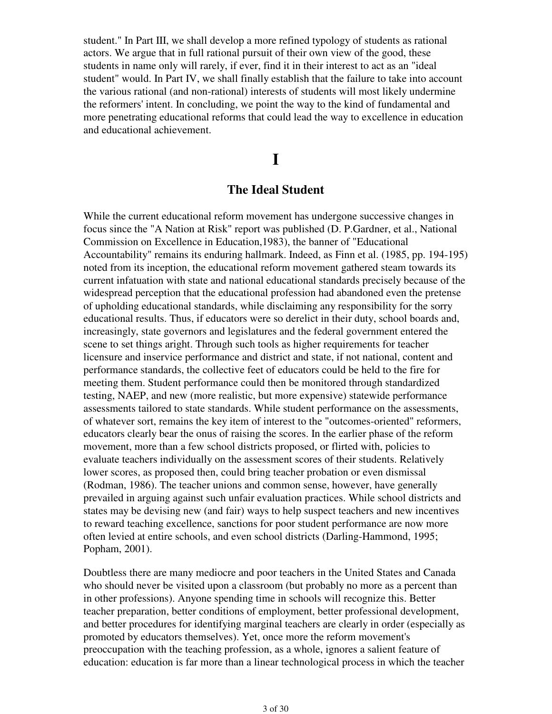student." In Part III, we shall develop a more refined typology of students as rational actors. We argue that in full rational pursuit of their own view of the good, these students in name only will rarely, if ever, find it in their interest to act as an "ideal student" would. In Part IV, we shall finally establish that the failure to take into account the various rational (and non-rational) interests of students will most likely undermine the reformers' intent. In concluding, we point the way to the kind of fundamental and more penetrating educational reforms that could lead the way to excellence in education and educational achievement.

# **I**

### **The Ideal Student**

While the current educational reform movement has undergone successive changes in focus since the "A Nation at Risk" report was published (D. P.Gardner, et al., National Commission on Excellence in Education,1983), the banner of "Educational Accountability" remains its enduring hallmark. Indeed, as Finn et al. (1985, pp. 194-195) noted from its inception, the educational reform movement gathered steam towards its current infatuation with state and national educational standards precisely because of the widespread perception that the educational profession had abandoned even the pretense of upholding educational standards, while disclaiming any responsibility for the sorry educational results. Thus, if educators were so derelict in their duty, school boards and, increasingly, state governors and legislatures and the federal government entered the scene to set things aright. Through such tools as higher requirements for teacher licensure and inservice performance and district and state, if not national, content and performance standards, the collective feet of educators could be held to the fire for meeting them. Student performance could then be monitored through standardized testing, NAEP, and new (more realistic, but more expensive) statewide performance assessments tailored to state standards. While student performance on the assessments, of whatever sort, remains the key item of interest to the "outcomes-oriented" reformers, educators clearly bear the onus of raising the scores. In the earlier phase of the reform movement, more than a few school districts proposed, or flirted with, policies to evaluate teachers individually on the assessment scores of their students. Relatively lower scores, as proposed then, could bring teacher probation or even dismissal (Rodman, 1986). The teacher unions and common sense, however, have generally prevailed in arguing against such unfair evaluation practices. While school districts and states may be devising new (and fair) ways to help suspect teachers and new incentives to reward teaching excellence, sanctions for poor student performance are now more often levied at entire schools, and even school districts (Darling-Hammond, 1995; Popham, 2001).

Doubtless there are many mediocre and poor teachers in the United States and Canada who should never be visited upon a classroom (but probably no more as a percent than in other professions). Anyone spending time in schools will recognize this. Better teacher preparation, better conditions of employment, better professional development, and better procedures for identifying marginal teachers are clearly in order (especially as promoted by educators themselves). Yet, once more the reform movement's preoccupation with the teaching profession, as a whole, ignores a salient feature of education: education is far more than a linear technological process in which the teacher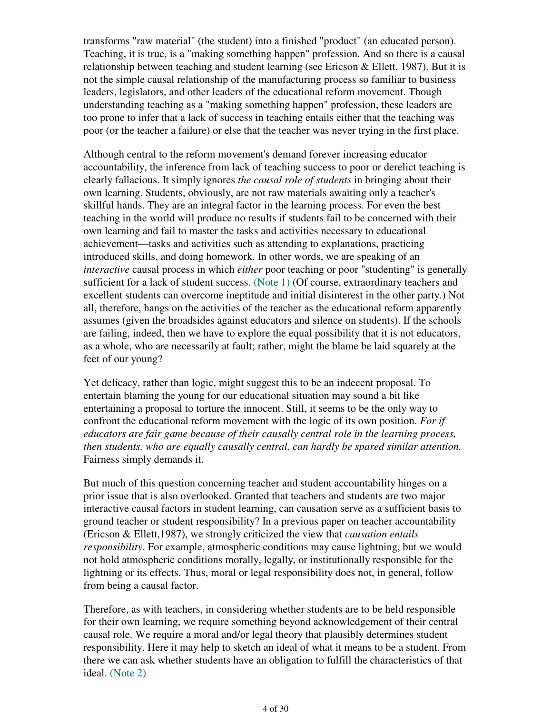transforms "raw material" (the student) into a finished "product" (an educated person). Teaching, it is true, is a "making something happen" profession. And so there is a causal relationship between teaching and student learning (see Ericson & Ellett, 1987). But it is not the simple causal relationship of the manufacturing process so familiar to business leaders, legislators, and other leaders of the educational reform movement. Though understanding teaching as a "making something happen" profession, these leaders are too prone to infer that a lack of success in teaching entails either that the teaching was poor (or the teacher a failure) or else that the teacher was never trying in the first place.

Although central to the reform movement's demand forever increasing educator accountability, the inference from lack of teaching success to poor or derelict teaching is clearly fallacious. It simply ignores *the causal role of students* in bringing about their own learning. Students, obviously, are not raw materials awaiting only a teacher's skillful hands. They are an integral factor in the learning process. For even the best teaching in the world will produce no results if students fail to be concerned with their own learning and fail to master the tasks and activities necessary to educational achievement—tasks and activities such as attending to explanations, practicing introduced skills, and doing homework. In other words, we are speaking of an *interactive* causal process in which *either* poor teaching or poor "studenting" is generally sufficient for a lack of student success. (Note 1) (Of course, extraordinary teachers and excellent students can overcome ineptitude and initial disinterest in the other party.) Not all, therefore, hangs on the activities of the teacher as the educational reform apparently assumes (given the broadsides against educators and silence on students). If the schools are failing, indeed, then we have to explore the equal possibility that it is not educators, as a whole, who are necessarily at fault; rather, might the blame be laid squarely at the feet of our young?

Yet delicacy, rather than logic, might suggest this to be an indecent proposal. To entertain blaming the young for our educational situation may sound a bit like entertaining a proposal to torture the innocent. Still, it seems to be the only way to confront the educational reform movement with the logic of its own position. *For if educators are fair game because of their causally central role in the learning process, then students, who are equally causally central, can hardly be spared similar attention.* Fairness simply demands it.

But much of this question concerning teacher and student accountability hinges on a prior issue that is also overlooked. Granted that teachers and students are two major interactive causal factors in student learning, can causation serve as a sufficient basis to ground teacher or student responsibility? In a previous paper on teacher accountability (Ericson & Ellett,1987), we strongly criticized the view that *causation entails responsibility*. For example, atmospheric conditions may cause lightning, but we would not hold atmospheric conditions morally, legally, or institutionally responsible for the lightning or its effects. Thus, moral or legal responsibility does not, in general, follow from being a causal factor.

Therefore, as with teachers, in considering whether students are to be held responsible for their own learning, we require something beyond acknowledgement of their central causal role. We require a moral and/or legal theory that plausibly determines student responsibility. Here it may help to sketch an ideal of what it means to be a student. From there we can ask whether students have an obligation to fulfill the characteristics of that ideal. (Note 2)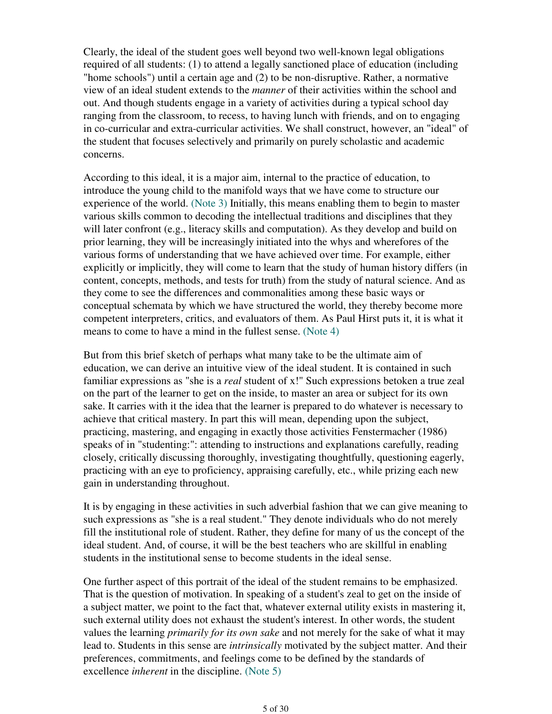Clearly, the ideal of the student goes well beyond two well-known legal obligations required of all students: (1) to attend a legally sanctioned place of education (including "home schools") until a certain age and (2) to be non-disruptive. Rather, a normative view of an ideal student extends to the *manner* of their activities within the school and out. And though students engage in a variety of activities during a typical school day ranging from the classroom, to recess, to having lunch with friends, and on to engaging in co-curricular and extra-curricular activities. We shall construct, however, an "ideal" of the student that focuses selectively and primarily on purely scholastic and academic concerns.

According to this ideal, it is a major aim, internal to the practice of education, to introduce the young child to the manifold ways that we have come to structure our experience of the world. (Note 3) Initially, this means enabling them to begin to master various skills common to decoding the intellectual traditions and disciplines that they will later confront (e.g., literacy skills and computation). As they develop and build on prior learning, they will be increasingly initiated into the whys and wherefores of the various forms of understanding that we have achieved over time. For example, either explicitly or implicitly, they will come to learn that the study of human history differs (in content, concepts, methods, and tests for truth) from the study of natural science. And as they come to see the differences and commonalities among these basic ways or conceptual schemata by which we have structured the world, they thereby become more competent interpreters, critics, and evaluators of them. As Paul Hirst puts it, it is what it means to come to have a mind in the fullest sense. (Note 4)

But from this brief sketch of perhaps what many take to be the ultimate aim of education, we can derive an intuitive view of the ideal student. It is contained in such familiar expressions as "she is a *real* student of x!" Such expressions betoken a true zeal on the part of the learner to get on the inside, to master an area or subject for its own sake. It carries with it the idea that the learner is prepared to do whatever is necessary to achieve that critical mastery. In part this will mean, depending upon the subject, practicing, mastering, and engaging in exactly those activities Fenstermacher (1986) speaks of in "studenting:": attending to instructions and explanations carefully, reading closely, critically discussing thoroughly, investigating thoughtfully, questioning eagerly, practicing with an eye to proficiency, appraising carefully, etc., while prizing each new gain in understanding throughout.

It is by engaging in these activities in such adverbial fashion that we can give meaning to such expressions as "she is a real student." They denote individuals who do not merely fill the institutional role of student. Rather, they define for many of us the concept of the ideal student. And, of course, it will be the best teachers who are skillful in enabling students in the institutional sense to become students in the ideal sense.

One further aspect of this portrait of the ideal of the student remains to be emphasized. That is the question of motivation. In speaking of a student's zeal to get on the inside of a subject matter, we point to the fact that, whatever external utility exists in mastering it, such external utility does not exhaust the student's interest. In other words, the student values the learning *primarily for its own sake* and not merely for the sake of what it may lead to. Students in this sense are *intrinsically* motivated by the subject matter. And their preferences, commitments, and feelings come to be defined by the standards of excellence *inherent* in the discipline. (Note 5)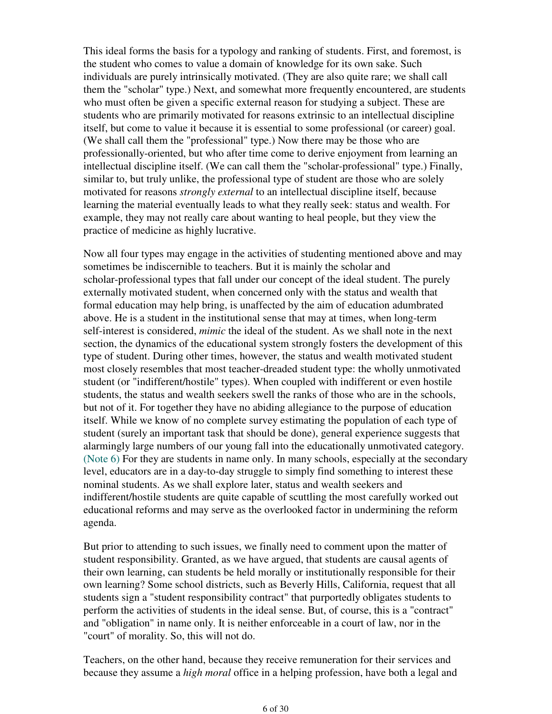This ideal forms the basis for a typology and ranking of students. First, and foremost, is the student who comes to value a domain of knowledge for its own sake. Such individuals are purely intrinsically motivated. (They are also quite rare; we shall call them the "scholar" type.) Next, and somewhat more frequently encountered, are students who must often be given a specific external reason for studying a subject. These are students who are primarily motivated for reasons extrinsic to an intellectual discipline itself, but come to value it because it is essential to some professional (or career) goal. (We shall call them the "professional" type.) Now there may be those who are professionally-oriented, but who after time come to derive enjoyment from learning an intellectual discipline itself. (We can call them the "scholar-professional" type.) Finally, similar to, but truly unlike, the professional type of student are those who are solely motivated for reasons *strongly external* to an intellectual discipline itself, because learning the material eventually leads to what they really seek: status and wealth. For example, they may not really care about wanting to heal people, but they view the practice of medicine as highly lucrative.

Now all four types may engage in the activities of studenting mentioned above and may sometimes be indiscernible to teachers. But it is mainly the scholar and scholar-professional types that fall under our concept of the ideal student. The purely externally motivated student, when concerned only with the status and wealth that formal education may help bring, is unaffected by the aim of education adumbrated above. He is a student in the institutional sense that may at times, when long-term self-interest is considered, *mimic* the ideal of the student. As we shall note in the next section, the dynamics of the educational system strongly fosters the development of this type of student. During other times, however, the status and wealth motivated student most closely resembles that most teacher-dreaded student type: the wholly unmotivated student (or "indifferent/hostile" types). When coupled with indifferent or even hostile students, the status and wealth seekers swell the ranks of those who are in the schools, but not of it. For together they have no abiding allegiance to the purpose of education itself. While we know of no complete survey estimating the population of each type of student (surely an important task that should be done), general experience suggests that alarmingly large numbers of our young fall into the educationally unmotivated category. (Note 6) For they are students in name only. In many schools, especially at the secondary level, educators are in a day-to-day struggle to simply find something to interest these nominal students. As we shall explore later, status and wealth seekers and indifferent/hostile students are quite capable of scuttling the most carefully worked out educational reforms and may serve as the overlooked factor in undermining the reform agenda.

But prior to attending to such issues, we finally need to comment upon the matter of student responsibility. Granted, as we have argued, that students are causal agents of their own learning, can students be held morally or institutionally responsible for their own learning? Some school districts, such as Beverly Hills, California, request that all students sign a "student responsibility contract" that purportedly obligates students to perform the activities of students in the ideal sense. But, of course, this is a "contract" and "obligation" in name only. It is neither enforceable in a court of law, nor in the "court" of morality. So, this will not do.

Teachers, on the other hand, because they receive remuneration for their services and because they assume a *high moral* office in a helping profession, have both a legal and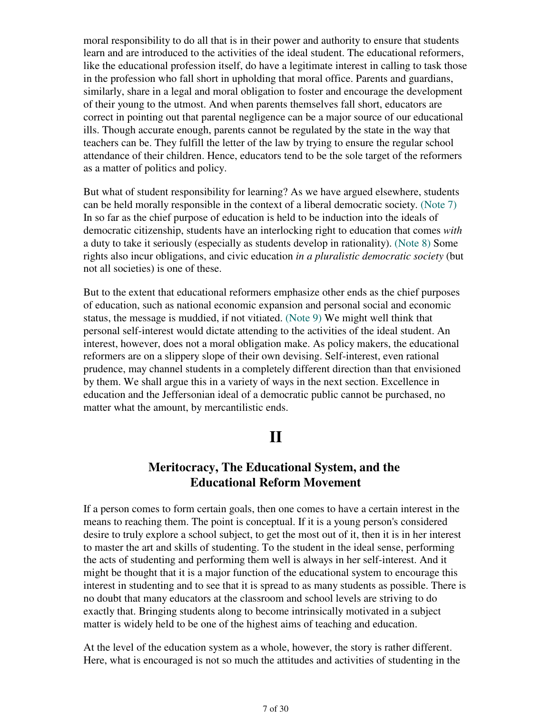moral responsibility to do all that is in their power and authority to ensure that students learn and are introduced to the activities of the ideal student. The educational reformers, like the educational profession itself, do have a legitimate interest in calling to task those in the profession who fall short in upholding that moral office. Parents and guardians, similarly, share in a legal and moral obligation to foster and encourage the development of their young to the utmost. And when parents themselves fall short, educators are correct in pointing out that parental negligence can be a major source of our educational ills. Though accurate enough, parents cannot be regulated by the state in the way that teachers can be. They fulfill the letter of the law by trying to ensure the regular school attendance of their children. Hence, educators tend to be the sole target of the reformers as a matter of politics and policy.

But what of student responsibility for learning? As we have argued elsewhere, students can be held morally responsible in the context of a liberal democratic society. (Note 7) In so far as the chief purpose of education is held to be induction into the ideals of democratic citizenship, students have an interlocking right to education that comes *with* a duty to take it seriously (especially as students develop in rationality). (Note 8) Some rights also incur obligations, and civic education *in a pluralistic democratic society* (but not all societies) is one of these.

But to the extent that educational reformers emphasize other ends as the chief purposes of education, such as national economic expansion and personal social and economic status, the message is muddied, if not vitiated. (Note 9) We might well think that personal self-interest would dictate attending to the activities of the ideal student. An interest, however, does not a moral obligation make. As policy makers, the educational reformers are on a slippery slope of their own devising. Self-interest, even rational prudence, may channel students in a completely different direction than that envisioned by them. We shall argue this in a variety of ways in the next section. Excellence in education and the Jeffersonian ideal of a democratic public cannot be purchased, no matter what the amount, by mercantilistic ends.

# **II**

# **Meritocracy, The Educational System, and the Educational Reform Movement**

If a person comes to form certain goals, then one comes to have a certain interest in the means to reaching them. The point is conceptual. If it is a young person's considered desire to truly explore a school subject, to get the most out of it, then it is in her interest to master the art and skills of studenting. To the student in the ideal sense, performing the acts of studenting and performing them well is always in her self-interest. And it might be thought that it is a major function of the educational system to encourage this interest in studenting and to see that it is spread to as many students as possible. There is no doubt that many educators at the classroom and school levels are striving to do exactly that. Bringing students along to become intrinsically motivated in a subject matter is widely held to be one of the highest aims of teaching and education.

At the level of the education system as a whole, however, the story is rather different. Here, what is encouraged is not so much the attitudes and activities of studenting in the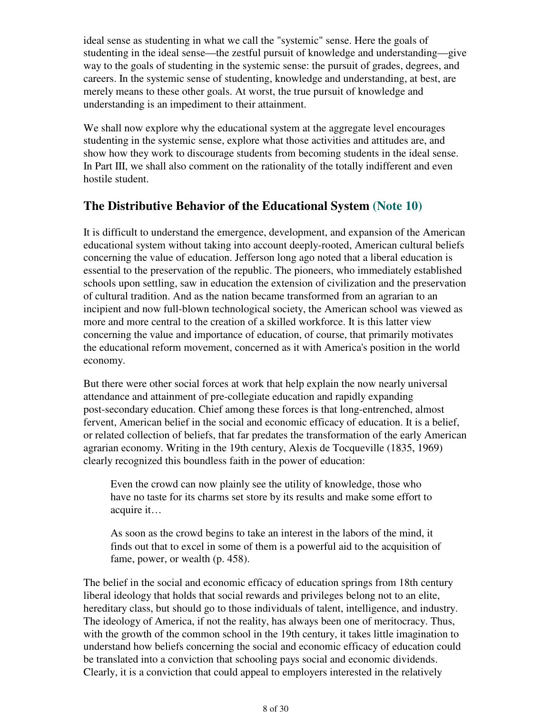ideal sense as studenting in what we call the "systemic" sense. Here the goals of studenting in the ideal sense—the zestful pursuit of knowledge and understanding—give way to the goals of studenting in the systemic sense: the pursuit of grades, degrees, and careers. In the systemic sense of studenting, knowledge and understanding, at best, are merely means to these other goals. At worst, the true pursuit of knowledge and understanding is an impediment to their attainment.

We shall now explore why the educational system at the aggregate level encourages studenting in the systemic sense, explore what those activities and attitudes are, and show how they work to discourage students from becoming students in the ideal sense. In Part III, we shall also comment on the rationality of the totally indifferent and even hostile student.

## **The Distributive Behavior of the Educational System (Note 10)**

It is difficult to understand the emergence, development, and expansion of the American educational system without taking into account deeply-rooted, American cultural beliefs concerning the value of education. Jefferson long ago noted that a liberal education is essential to the preservation of the republic. The pioneers, who immediately established schools upon settling, saw in education the extension of civilization and the preservation of cultural tradition. And as the nation became transformed from an agrarian to an incipient and now full-blown technological society, the American school was viewed as more and more central to the creation of a skilled workforce. It is this latter view concerning the value and importance of education, of course, that primarily motivates the educational reform movement, concerned as it with America's position in the world economy.

But there were other social forces at work that help explain the now nearly universal attendance and attainment of pre-collegiate education and rapidly expanding post-secondary education. Chief among these forces is that long-entrenched, almost fervent, American belief in the social and economic efficacy of education. It is a belief, or related collection of beliefs, that far predates the transformation of the early American agrarian economy. Writing in the 19th century, Alexis de Tocqueville (1835, 1969) clearly recognized this boundless faith in the power of education:

Even the crowd can now plainly see the utility of knowledge, those who have no taste for its charms set store by its results and make some effort to acquire it…

As soon as the crowd begins to take an interest in the labors of the mind, it finds out that to excel in some of them is a powerful aid to the acquisition of fame, power, or wealth (p. 458).

The belief in the social and economic efficacy of education springs from 18th century liberal ideology that holds that social rewards and privileges belong not to an elite, hereditary class, but should go to those individuals of talent, intelligence, and industry. The ideology of America, if not the reality, has always been one of meritocracy. Thus, with the growth of the common school in the 19th century, it takes little imagination to understand how beliefs concerning the social and economic efficacy of education could be translated into a conviction that schooling pays social and economic dividends. Clearly, it is a conviction that could appeal to employers interested in the relatively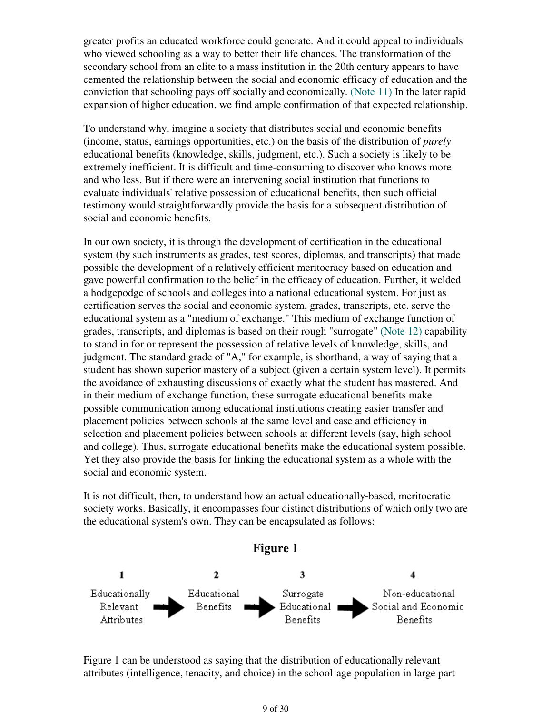greater profits an educated workforce could generate. And it could appeal to individuals who viewed schooling as a way to better their life chances. The transformation of the secondary school from an elite to a mass institution in the 20th century appears to have cemented the relationship between the social and economic efficacy of education and the conviction that schooling pays off socially and economically. (Note 11) In the later rapid expansion of higher education, we find ample confirmation of that expected relationship.

To understand why, imagine a society that distributes social and economic benefits (income, status, earnings opportunities, etc.) on the basis of the distribution of *purely* educational benefits (knowledge, skills, judgment, etc.). Such a society is likely to be extremely inefficient. It is difficult and time-consuming to discover who knows more and who less. But if there were an intervening social institution that functions to evaluate individuals' relative possession of educational benefits, then such official testimony would straightforwardly provide the basis for a subsequent distribution of social and economic benefits.

In our own society, it is through the development of certification in the educational system (by such instruments as grades, test scores, diplomas, and transcripts) that made possible the development of a relatively efficient meritocracy based on education and gave powerful confirmation to the belief in the efficacy of education. Further, it welded a hodgepodge of schools and colleges into a national educational system. For just as certification serves the social and economic system, grades, transcripts, etc. serve the educational system as a "medium of exchange." This medium of exchange function of grades, transcripts, and diplomas is based on their rough "surrogate" (Note 12) capability to stand in for or represent the possession of relative levels of knowledge, skills, and judgment. The standard grade of "A," for example, is shorthand, a way of saying that a student has shown superior mastery of a subject (given a certain system level). It permits the avoidance of exhausting discussions of exactly what the student has mastered. And in their medium of exchange function, these surrogate educational benefits make possible communication among educational institutions creating easier transfer and placement policies between schools at the same level and ease and efficiency in selection and placement policies between schools at different levels (say, high school and college). Thus, surrogate educational benefits make the educational system possible. Yet they also provide the basis for linking the educational system as a whole with the social and economic system.

It is not difficult, then, to understand how an actual educationally-based, meritocratic society works. Basically, it encompasses four distinct distributions of which only two are the educational system's own. They can be encapsulated as follows:



Figure 1 can be understood as saying that the distribution of educationally relevant attributes (intelligence, tenacity, and choice) in the school-age population in large part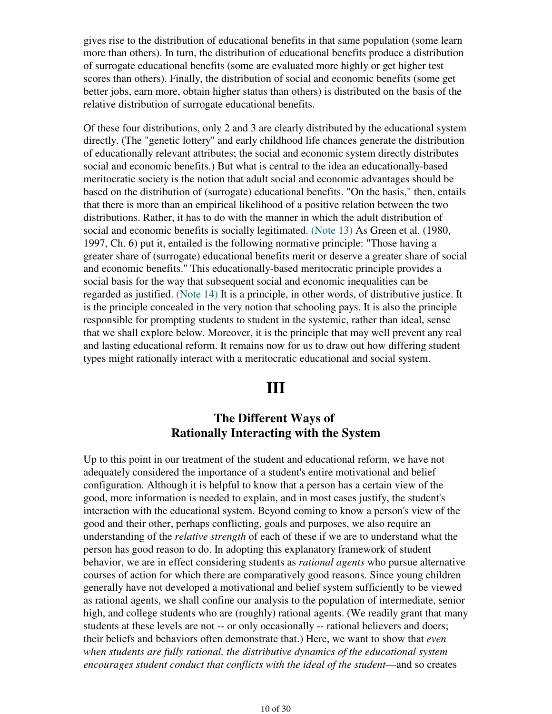gives rise to the distribution of educational benefits in that same population (some learn more than others). In turn, the distribution of educational benefits produce a distribution of surrogate educational benefits (some are evaluated more highly or get higher test scores than others). Finally, the distribution of social and economic benefits (some get better jobs, earn more, obtain higher status than others) is distributed on the basis of the relative distribution of surrogate educational benefits.

Of these four distributions, only 2 and 3 are clearly distributed by the educational system directly. (The "genetic lottery" and early childhood life chances generate the distribution of educationally relevant attributes; the social and economic system directly distributes social and economic benefits.) But what is central to the idea an educationally-based meritocratic society is the notion that adult social and economic advantages should be based on the distribution of (surrogate) educational benefits. "On the basis," then, entails that there is more than an empirical likelihood of a positive relation between the two distributions. Rather, it has to do with the manner in which the adult distribution of social and economic benefits is socially legitimated. (Note 13) As Green et al. (1980, 1997, Ch. 6) put it, entailed is the following normative principle: "Those having a greater share of (surrogate) educational benefits merit or deserve a greater share of social and economic benefits." This educationally-based meritocratic principle provides a social basis for the way that subsequent social and economic inequalities can be regarded as justified. (Note 14) It is a principle, in other words, of distributive justice. It is the principle concealed in the very notion that schooling pays. It is also the principle responsible for prompting students to student in the systemic, rather than ideal, sense that we shall explore below. Moreover, it is the principle that may well prevent any real and lasting educational reform. It remains now for us to draw out how differing student types might rationally interact with a meritocratic educational and social system.

# **III**

## **The Different Ways of Rationally Interacting with the System**

Up to this point in our treatment of the student and educational reform, we have not adequately considered the importance of a student's entire motivational and belief configuration. Although it is helpful to know that a person has a certain view of the good, more information is needed to explain, and in most cases justify, the student's interaction with the educational system. Beyond coming to know a person's view of the good and their other, perhaps conflicting, goals and purposes, we also require an understanding of the *relative strength* of each of these if we are to understand what the person has good reason to do. In adopting this explanatory framework of student behavior, we are in effect considering students as *rational agents* who pursue alternative courses of action for which there are comparatively good reasons. Since young children generally have not developed a motivational and belief system sufficiently to be viewed as rational agents, we shall confine our analysis to the population of intermediate, senior high, and college students who are (roughly) rational agents. (We readily grant that many students at these levels are not -- or only occasionally -- rational believers and doers; their beliefs and behaviors often demonstrate that.) Here, we want to show that *even when students are fully rational, the distributive dynamics of the educational system encourages student conduct that conflicts with the ideal of the student*—and so creates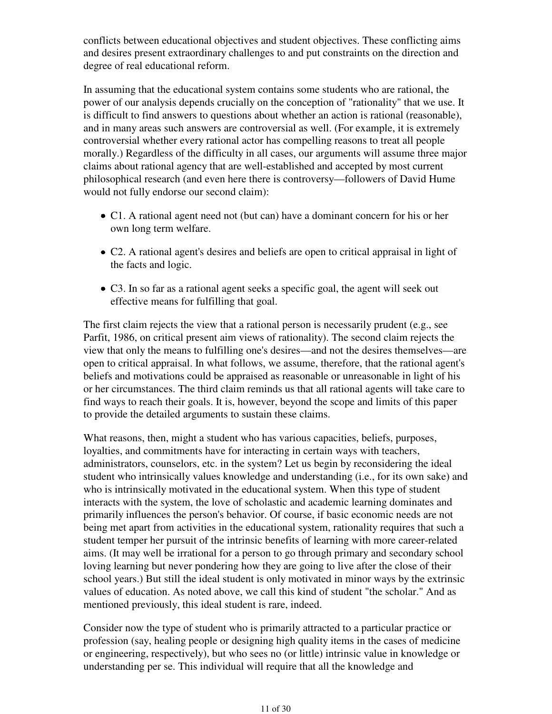conflicts between educational objectives and student objectives. These conflicting aims and desires present extraordinary challenges to and put constraints on the direction and degree of real educational reform.

In assuming that the educational system contains some students who are rational, the power of our analysis depends crucially on the conception of "rationality" that we use. It is difficult to find answers to questions about whether an action is rational (reasonable), and in many areas such answers are controversial as well. (For example, it is extremely controversial whether every rational actor has compelling reasons to treat all people morally.) Regardless of the difficulty in all cases, our arguments will assume three major claims about rational agency that are well-established and accepted by most current philosophical research (and even here there is controversy—followers of David Hume would not fully endorse our second claim):

- C1. A rational agent need not (but can) have a dominant concern for his or her own long term welfare.
- C2. A rational agent's desires and beliefs are open to critical appraisal in light of the facts and logic.
- C3. In so far as a rational agent seeks a specific goal, the agent will seek out effective means for fulfilling that goal.

The first claim rejects the view that a rational person is necessarily prudent (e.g., see Parfit, 1986, on critical present aim views of rationality). The second claim rejects the view that only the means to fulfilling one's desires—and not the desires themselves—are open to critical appraisal. In what follows, we assume, therefore, that the rational agent's beliefs and motivations could be appraised as reasonable or unreasonable in light of his or her circumstances. The third claim reminds us that all rational agents will take care to find ways to reach their goals. It is, however, beyond the scope and limits of this paper to provide the detailed arguments to sustain these claims.

What reasons, then, might a student who has various capacities, beliefs, purposes, loyalties, and commitments have for interacting in certain ways with teachers, administrators, counselors, etc. in the system? Let us begin by reconsidering the ideal student who intrinsically values knowledge and understanding (i.e., for its own sake) and who is intrinsically motivated in the educational system. When this type of student interacts with the system, the love of scholastic and academic learning dominates and primarily influences the person's behavior. Of course, if basic economic needs are not being met apart from activities in the educational system, rationality requires that such a student temper her pursuit of the intrinsic benefits of learning with more career-related aims. (It may well be irrational for a person to go through primary and secondary school loving learning but never pondering how they are going to live after the close of their school years.) But still the ideal student is only motivated in minor ways by the extrinsic values of education. As noted above, we call this kind of student "the scholar." And as mentioned previously, this ideal student is rare, indeed.

Consider now the type of student who is primarily attracted to a particular practice or profession (say, healing people or designing high quality items in the cases of medicine or engineering, respectively), but who sees no (or little) intrinsic value in knowledge or understanding per se. This individual will require that all the knowledge and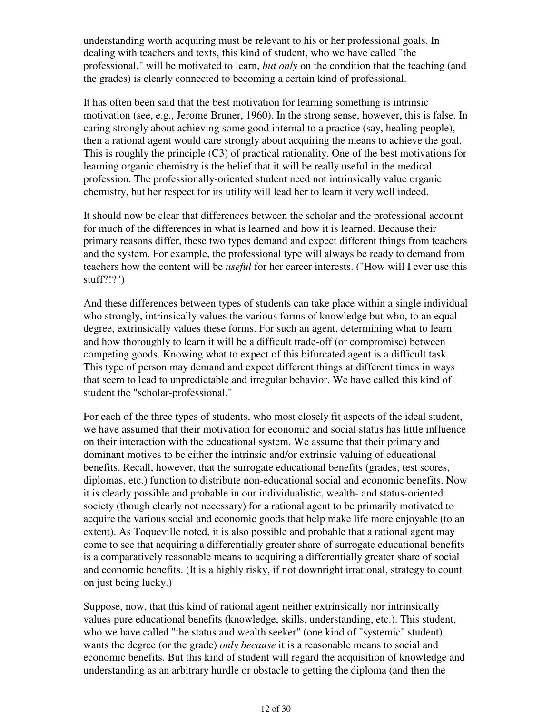understanding worth acquiring must be relevant to his or her professional goals. In dealing with teachers and texts, this kind of student, who we have called "the professional," will be motivated to learn, *but only* on the condition that the teaching (and the grades) is clearly connected to becoming a certain kind of professional.

It has often been said that the best motivation for learning something is intrinsic motivation (see, e.g., Jerome Bruner, 1960). In the strong sense, however, this is false. In caring strongly about achieving some good internal to a practice (say, healing people), then a rational agent would care strongly about acquiring the means to achieve the goal. This is roughly the principle (C3) of practical rationality. One of the best motivations for learning organic chemistry is the belief that it will be really useful in the medical profession. The professionally-oriented student need not intrinsically value organic chemistry, but her respect for its utility will lead her to learn it very well indeed.

It should now be clear that differences between the scholar and the professional account for much of the differences in what is learned and how it is learned. Because their primary reasons differ, these two types demand and expect different things from teachers and the system. For example, the professional type will always be ready to demand from teachers how the content will be *useful* for her career interests. ("How will I ever use this stuff?!?")

And these differences between types of students can take place within a single individual who strongly, intrinsically values the various forms of knowledge but who, to an equal degree, extrinsically values these forms. For such an agent, determining what to learn and how thoroughly to learn it will be a difficult trade-off (or compromise) between competing goods. Knowing what to expect of this bifurcated agent is a difficult task. This type of person may demand and expect different things at different times in ways that seem to lead to unpredictable and irregular behavior. We have called this kind of student the "scholar-professional."

For each of the three types of students, who most closely fit aspects of the ideal student, we have assumed that their motivation for economic and social status has little influence on their interaction with the educational system. We assume that their primary and dominant motives to be either the intrinsic and/or extrinsic valuing of educational benefits. Recall, however, that the surrogate educational benefits (grades, test scores, diplomas, etc.) function to distribute non-educational social and economic benefits. Now it is clearly possible and probable in our individualistic, wealth- and status-oriented society (though clearly not necessary) for a rational agent to be primarily motivated to acquire the various social and economic goods that help make life more enjoyable (to an extent). As Toqueville noted, it is also possible and probable that a rational agent may come to see that acquiring a differentially greater share of surrogate educational benefits is a comparatively reasonable means to acquiring a differentially greater share of social and economic benefits. (It is a highly risky, if not downright irrational, strategy to count on just being lucky.)

Suppose, now, that this kind of rational agent neither extrinsically nor intrinsically values pure educational benefits (knowledge, skills, understanding, etc.). This student, who we have called "the status and wealth seeker" (one kind of "systemic" student), wants the degree (or the grade) *only because* it is a reasonable means to social and economic benefits. But this kind of student will regard the acquisition of knowledge and understanding as an arbitrary hurdle or obstacle to getting the diploma (and then the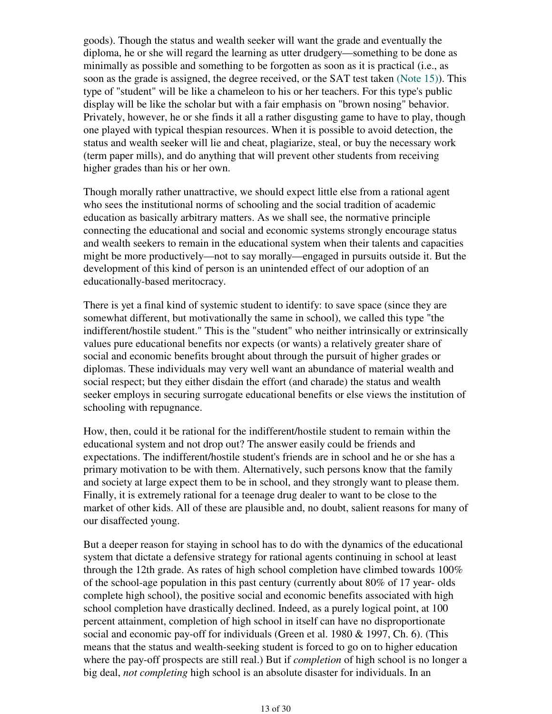goods). Though the status and wealth seeker will want the grade and eventually the diploma, he or she will regard the learning as utter drudgery—something to be done as minimally as possible and something to be forgotten as soon as it is practical (i.e., as soon as the grade is assigned, the degree received, or the SAT test taken (Note 15)). This type of "student" will be like a chameleon to his or her teachers. For this type's public display will be like the scholar but with a fair emphasis on "brown nosing" behavior. Privately, however, he or she finds it all a rather disgusting game to have to play, though one played with typical thespian resources. When it is possible to avoid detection, the status and wealth seeker will lie and cheat, plagiarize, steal, or buy the necessary work (term paper mills), and do anything that will prevent other students from receiving higher grades than his or her own.

Though morally rather unattractive, we should expect little else from a rational agent who sees the institutional norms of schooling and the social tradition of academic education as basically arbitrary matters. As we shall see, the normative principle connecting the educational and social and economic systems strongly encourage status and wealth seekers to remain in the educational system when their talents and capacities might be more productively—not to say morally—engaged in pursuits outside it. But the development of this kind of person is an unintended effect of our adoption of an educationally-based meritocracy.

There is yet a final kind of systemic student to identify: to save space (since they are somewhat different, but motivationally the same in school), we called this type "the indifferent/hostile student." This is the "student" who neither intrinsically or extrinsically values pure educational benefits nor expects (or wants) a relatively greater share of social and economic benefits brought about through the pursuit of higher grades or diplomas. These individuals may very well want an abundance of material wealth and social respect; but they either disdain the effort (and charade) the status and wealth seeker employs in securing surrogate educational benefits or else views the institution of schooling with repugnance.

How, then, could it be rational for the indifferent/hostile student to remain within the educational system and not drop out? The answer easily could be friends and expectations. The indifferent/hostile student's friends are in school and he or she has a primary motivation to be with them. Alternatively, such persons know that the family and society at large expect them to be in school, and they strongly want to please them. Finally, it is extremely rational for a teenage drug dealer to want to be close to the market of other kids. All of these are plausible and, no doubt, salient reasons for many of our disaffected young.

But a deeper reason for staying in school has to do with the dynamics of the educational system that dictate a defensive strategy for rational agents continuing in school at least through the 12th grade. As rates of high school completion have climbed towards 100% of the school-age population in this past century (currently about 80% of 17 year- olds complete high school), the positive social and economic benefits associated with high school completion have drastically declined. Indeed, as a purely logical point, at 100 percent attainment, completion of high school in itself can have no disproportionate social and economic pay-off for individuals (Green et al. 1980 & 1997, Ch. 6). (This means that the status and wealth-seeking student is forced to go on to higher education where the pay-off prospects are still real.) But if *completion* of high school is no longer a big deal, *not completing* high school is an absolute disaster for individuals. In an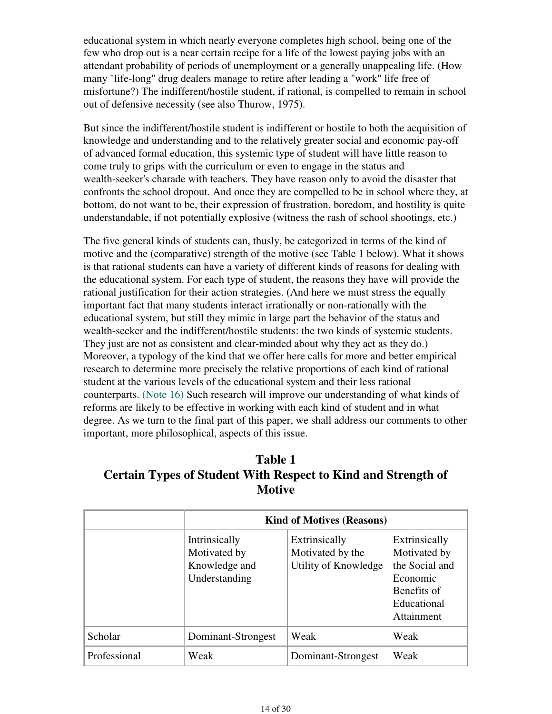educational system in which nearly everyone completes high school, being one of the few who drop out is a near certain recipe for a life of the lowest paying jobs with an attendant probability of periods of unemployment or a generally unappealing life. (How many "life-long" drug dealers manage to retire after leading a "work" life free of misfortune?) The indifferent/hostile student, if rational, is compelled to remain in school out of defensive necessity (see also Thurow, 1975).

But since the indifferent/hostile student is indifferent or hostile to both the acquisition of knowledge and understanding and to the relatively greater social and economic pay-off of advanced formal education, this systemic type of student will have little reason to come truly to grips with the curriculum or even to engage in the status and wealth-seeker's charade with teachers. They have reason only to avoid the disaster that confronts the school dropout. And once they are compelled to be in school where they, at bottom, do not want to be, their expression of frustration, boredom, and hostility is quite understandable, if not potentially explosive (witness the rash of school shootings, etc.)

The five general kinds of students can, thusly, be categorized in terms of the kind of motive and the (comparative) strength of the motive (see Table 1 below). What it shows is that rational students can have a variety of different kinds of reasons for dealing with the educational system. For each type of student, the reasons they have will provide the rational justification for their action strategies. (And here we must stress the equally important fact that many students interact irrationally or non-rationally with the educational system, but still they mimic in large part the behavior of the status and wealth-seeker and the indifferent/hostile students: the two kinds of systemic students. They just are not as consistent and clear-minded about why they act as they do.) Moreover, a typology of the kind that we offer here calls for more and better empirical research to determine more precisely the relative proportions of each kind of rational student at the various levels of the educational system and their less rational counterparts. (Note 16) Such research will improve our understanding of what kinds of reforms are likely to be effective in working with each kind of student and in what degree. As we turn to the final part of this paper, we shall address our comments to other important, more philosophical, aspects of this issue.

# **Table 1 Certain Types of Student With Respect to Kind and Strength of Motive**

|              |                                                                 | <b>Kind of Motives (Reasons)</b>                          |                                                                                                         |  |  |
|--------------|-----------------------------------------------------------------|-----------------------------------------------------------|---------------------------------------------------------------------------------------------------------|--|--|
|              | Intrinsically<br>Motivated by<br>Knowledge and<br>Understanding | Extrinsically<br>Motivated by the<br>Utility of Knowledge | Extrinsically<br>Motivated by<br>the Social and<br>Economic<br>Benefits of<br>Educational<br>Attainment |  |  |
| Scholar      | Dominant-Strongest                                              | Weak                                                      | Weak                                                                                                    |  |  |
| Professional | Weak                                                            | Dominant-Strongest                                        | Weak                                                                                                    |  |  |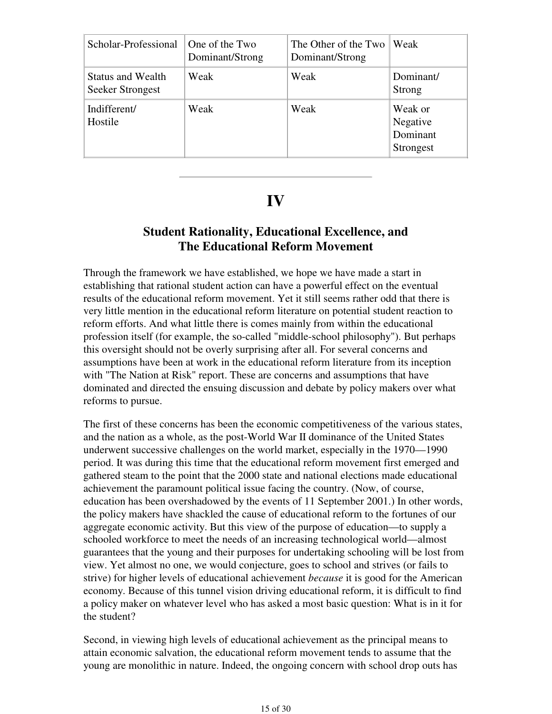| Scholar-Professional                                | One of the Two<br>Dominant/Strong | The Other of the Two<br>Dominant/Strong | Weak                                         |
|-----------------------------------------------------|-----------------------------------|-----------------------------------------|----------------------------------------------|
| <b>Status and Wealth</b><br><b>Seeker Strongest</b> | Weak                              | Weak                                    | Dominant/<br>Strong                          |
| Indifferent/<br>Hostile                             | Weak                              | Weak                                    | Weak or<br>Negative<br>Dominant<br>Strongest |

# **IV**

# **Student Rationality, Educational Excellence, and The Educational Reform Movement**

Through the framework we have established, we hope we have made a start in establishing that rational student action can have a powerful effect on the eventual results of the educational reform movement. Yet it still seems rather odd that there is very little mention in the educational reform literature on potential student reaction to reform efforts. And what little there is comes mainly from within the educational profession itself (for example, the so-called "middle-school philosophy"). But perhaps this oversight should not be overly surprising after all. For several concerns and assumptions have been at work in the educational reform literature from its inception with "The Nation at Risk" report. These are concerns and assumptions that have dominated and directed the ensuing discussion and debate by policy makers over what reforms to pursue.

The first of these concerns has been the economic competitiveness of the various states, and the nation as a whole, as the post-World War II dominance of the United States underwent successive challenges on the world market, especially in the 1970—1990 period. It was during this time that the educational reform movement first emerged and gathered steam to the point that the 2000 state and national elections made educational achievement the paramount political issue facing the country. (Now, of course, education has been overshadowed by the events of 11 September 2001.) In other words, the policy makers have shackled the cause of educational reform to the fortunes of our aggregate economic activity. But this view of the purpose of education—to supply a schooled workforce to meet the needs of an increasing technological world—almost guarantees that the young and their purposes for undertaking schooling will be lost from view. Yet almost no one, we would conjecture, goes to school and strives (or fails to strive) for higher levels of educational achievement *because* it is good for the American economy. Because of this tunnel vision driving educational reform, it is difficult to find a policy maker on whatever level who has asked a most basic question: What is in it for the student?

Second, in viewing high levels of educational achievement as the principal means to attain economic salvation, the educational reform movement tends to assume that the young are monolithic in nature. Indeed, the ongoing concern with school drop outs has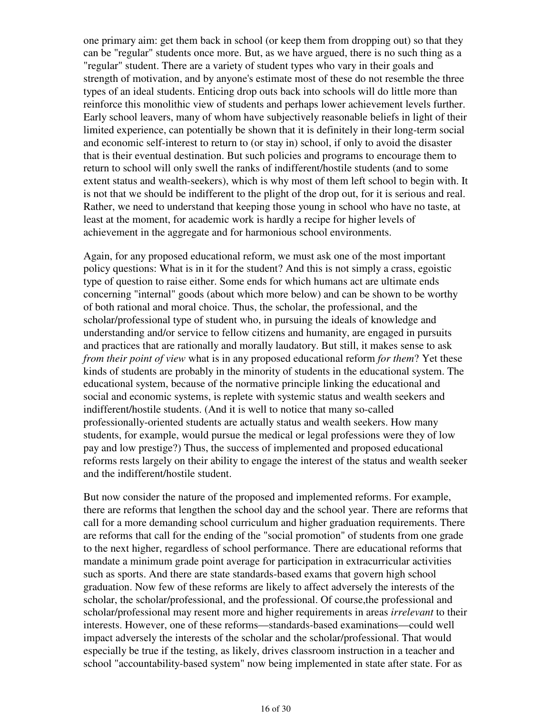one primary aim: get them back in school (or keep them from dropping out) so that they can be "regular" students once more. But, as we have argued, there is no such thing as a "regular" student. There are a variety of student types who vary in their goals and strength of motivation, and by anyone's estimate most of these do not resemble the three types of an ideal students. Enticing drop outs back into schools will do little more than reinforce this monolithic view of students and perhaps lower achievement levels further. Early school leavers, many of whom have subjectively reasonable beliefs in light of their limited experience, can potentially be shown that it is definitely in their long-term social and economic self-interest to return to (or stay in) school, if only to avoid the disaster that is their eventual destination. But such policies and programs to encourage them to return to school will only swell the ranks of indifferent/hostile students (and to some extent status and wealth-seekers), which is why most of them left school to begin with. It is not that we should be indifferent to the plight of the drop out, for it is serious and real. Rather, we need to understand that keeping those young in school who have no taste, at least at the moment, for academic work is hardly a recipe for higher levels of achievement in the aggregate and for harmonious school environments.

Again, for any proposed educational reform, we must ask one of the most important policy questions: What is in it for the student? And this is not simply a crass, egoistic type of question to raise either. Some ends for which humans act are ultimate ends concerning "internal" goods (about which more below) and can be shown to be worthy of both rational and moral choice. Thus, the scholar, the professional, and the scholar/professional type of student who, in pursuing the ideals of knowledge and understanding and/or service to fellow citizens and humanity, are engaged in pursuits and practices that are rationally and morally laudatory. But still, it makes sense to ask *from their point of view* what is in any proposed educational reform *for them*? Yet these kinds of students are probably in the minority of students in the educational system. The educational system, because of the normative principle linking the educational and social and economic systems, is replete with systemic status and wealth seekers and indifferent/hostile students. (And it is well to notice that many so-called professionally-oriented students are actually status and wealth seekers. How many students, for example, would pursue the medical or legal professions were they of low pay and low prestige?) Thus, the success of implemented and proposed educational reforms rests largely on their ability to engage the interest of the status and wealth seeker and the indifferent/hostile student.

But now consider the nature of the proposed and implemented reforms. For example, there are reforms that lengthen the school day and the school year. There are reforms that call for a more demanding school curriculum and higher graduation requirements. There are reforms that call for the ending of the "social promotion" of students from one grade to the next higher, regardless of school performance. There are educational reforms that mandate a minimum grade point average for participation in extracurricular activities such as sports. And there are state standards-based exams that govern high school graduation. Now few of these reforms are likely to affect adversely the interests of the scholar, the scholar/professional, and the professional. Of course,the professional and scholar/professional may resent more and higher requirements in areas *irrelevant* to their interests. However, one of these reforms—standards-based examinations—could well impact adversely the interests of the scholar and the scholar/professional. That would especially be true if the testing, as likely, drives classroom instruction in a teacher and school "accountability-based system" now being implemented in state after state. For as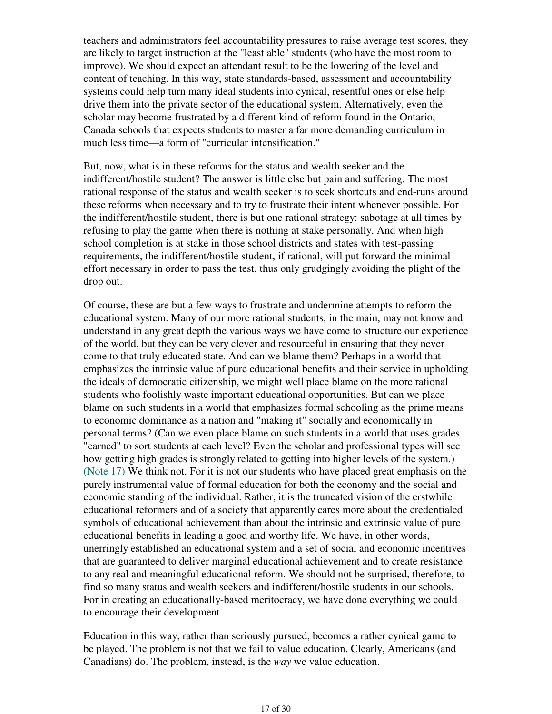teachers and administrators feel accountability pressures to raise average test scores, they are likely to target instruction at the "least able" students (who have the most room to improve). We should expect an attendant result to be the lowering of the level and content of teaching. In this way, state standards-based, assessment and accountability systems could help turn many ideal students into cynical, resentful ones or else help drive them into the private sector of the educational system. Alternatively, even the scholar may become frustrated by a different kind of reform found in the Ontario, Canada schools that expects students to master a far more demanding curriculum in much less time—a form of "curricular intensification."

But, now, what is in these reforms for the status and wealth seeker and the indifferent/hostile student? The answer is little else but pain and suffering. The most rational response of the status and wealth seeker is to seek shortcuts and end-runs around these reforms when necessary and to try to frustrate their intent whenever possible. For the indifferent/hostile student, there is but one rational strategy: sabotage at all times by refusing to play the game when there is nothing at stake personally. And when high school completion is at stake in those school districts and states with test-passing requirements, the indifferent/hostile student, if rational, will put forward the minimal effort necessary in order to pass the test, thus only grudgingly avoiding the plight of the drop out.

Of course, these are but a few ways to frustrate and undermine attempts to reform the educational system. Many of our more rational students, in the main, may not know and understand in any great depth the various ways we have come to structure our experience of the world, but they can be very clever and resourceful in ensuring that they never come to that truly educated state. And can we blame them? Perhaps in a world that emphasizes the intrinsic value of pure educational benefits and their service in upholding the ideals of democratic citizenship, we might well place blame on the more rational students who foolishly waste important educational opportunities. But can we place blame on such students in a world that emphasizes formal schooling as the prime means to economic dominance as a nation and "making it" socially and economically in personal terms? (Can we even place blame on such students in a world that uses grades "earned" to sort students at each level? Even the scholar and professional types will see how getting high grades is strongly related to getting into higher levels of the system.) (Note 17) We think not. For it is not our students who have placed great emphasis on the purely instrumental value of formal education for both the economy and the social and economic standing of the individual. Rather, it is the truncated vision of the erstwhile educational reformers and of a society that apparently cares more about the credentialed symbols of educational achievement than about the intrinsic and extrinsic value of pure educational benefits in leading a good and worthy life. We have, in other words, unerringly established an educational system and a set of social and economic incentives that are guaranteed to deliver marginal educational achievement and to create resistance to any real and meaningful educational reform. We should not be surprised, therefore, to find so many status and wealth seekers and indifferent/hostile students in our schools. For in creating an educationally-based meritocracy, we have done everything we could to encourage their development.

Education in this way, rather than seriously pursued, becomes a rather cynical game to be played. The problem is not that we fail to value education. Clearly, Americans (and Canadians) do. The problem, instead, is the *way* we value education.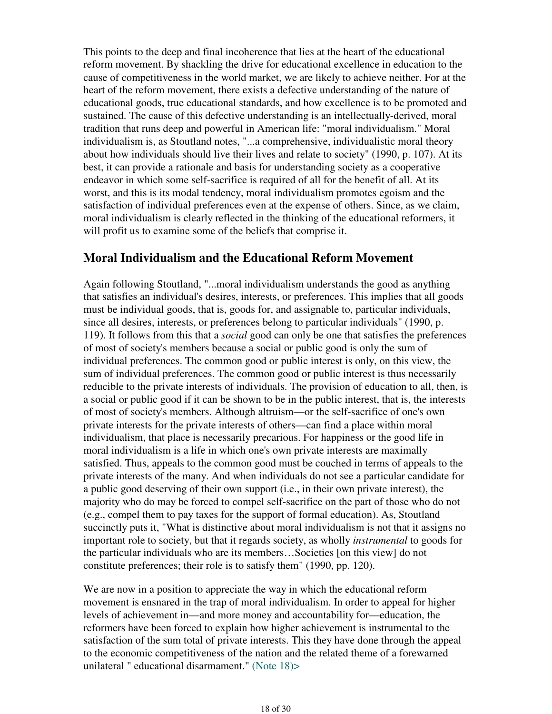This points to the deep and final incoherence that lies at the heart of the educational reform movement. By shackling the drive for educational excellence in education to the cause of competitiveness in the world market, we are likely to achieve neither. For at the heart of the reform movement, there exists a defective understanding of the nature of educational goods, true educational standards, and how excellence is to be promoted and sustained. The cause of this defective understanding is an intellectually-derived, moral tradition that runs deep and powerful in American life: "moral individualism." Moral individualism is, as Stoutland notes, "...a comprehensive, individualistic moral theory about how individuals should live their lives and relate to society" (1990, p. 107). At its best, it can provide a rationale and basis for understanding society as a cooperative endeavor in which some self-sacrifice is required of all for the benefit of all. At its worst, and this is its modal tendency, moral individualism promotes egoism and the satisfaction of individual preferences even at the expense of others. Since, as we claim, moral individualism is clearly reflected in the thinking of the educational reformers, it will profit us to examine some of the beliefs that comprise it.

## **Moral Individualism and the Educational Reform Movement**

Again following Stoutland, "...moral individualism understands the good as anything that satisfies an individual's desires, interests, or preferences. This implies that all goods must be individual goods, that is, goods for, and assignable to, particular individuals, since all desires, interests, or preferences belong to particular individuals" (1990, p. 119). It follows from this that a *social* good can only be one that satisfies the preferences of most of society's members because a social or public good is only the sum of individual preferences. The common good or public interest is only, on this view, the sum of individual preferences. The common good or public interest is thus necessarily reducible to the private interests of individuals. The provision of education to all, then, is a social or public good if it can be shown to be in the public interest, that is, the interests of most of society's members. Although altruism—or the self-sacrifice of one's own private interests for the private interests of others—can find a place within moral individualism, that place is necessarily precarious. For happiness or the good life in moral individualism is a life in which one's own private interests are maximally satisfied. Thus, appeals to the common good must be couched in terms of appeals to the private interests of the many. And when individuals do not see a particular candidate for a public good deserving of their own support (i.e., in their own private interest), the majority who do may be forced to compel self-sacrifice on the part of those who do not (e.g., compel them to pay taxes for the support of formal education). As, Stoutland succinctly puts it, "What is distinctive about moral individualism is not that it assigns no important role to society, but that it regards society, as wholly *instrumental* to goods for the particular individuals who are its members…Societies [on this view] do not constitute preferences; their role is to satisfy them" (1990, pp. 120).

We are now in a position to appreciate the way in which the educational reform movement is ensnared in the trap of moral individualism. In order to appeal for higher levels of achievement in—and more money and accountability for—education, the reformers have been forced to explain how higher achievement is instrumental to the satisfaction of the sum total of private interests. This they have done through the appeal to the economic competitiveness of the nation and the related theme of a forewarned unilateral " educational disarmament." (Note 18)>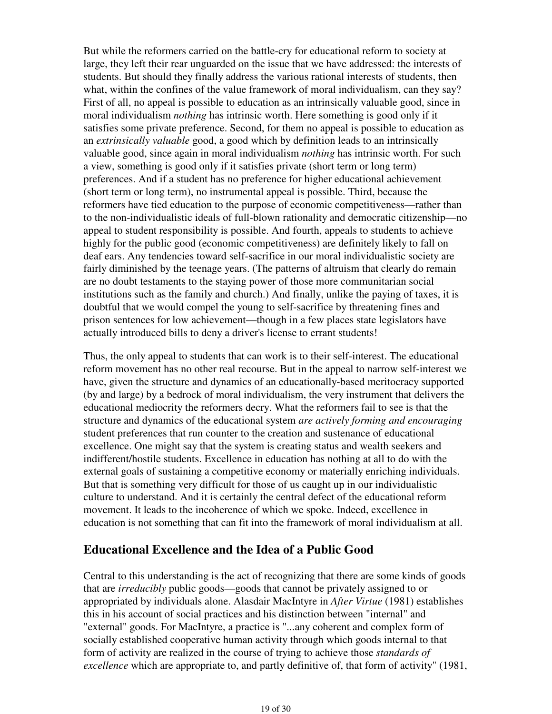But while the reformers carried on the battle-cry for educational reform to society at large, they left their rear unguarded on the issue that we have addressed: the interests of students. But should they finally address the various rational interests of students, then what, within the confines of the value framework of moral individualism, can they say? First of all, no appeal is possible to education as an intrinsically valuable good, since in moral individualism *nothing* has intrinsic worth. Here something is good only if it satisfies some private preference. Second, for them no appeal is possible to education as an *extrinsically valuable* good, a good which by definition leads to an intrinsically valuable good, since again in moral individualism *nothing* has intrinsic worth. For such a view, something is good only if it satisfies private (short term or long term) preferences. And if a student has no preference for higher educational achievement (short term or long term), no instrumental appeal is possible. Third, because the reformers have tied education to the purpose of economic competitiveness—rather than to the non-individualistic ideals of full-blown rationality and democratic citizenship—no appeal to student responsibility is possible. And fourth, appeals to students to achieve highly for the public good (economic competitiveness) are definitely likely to fall on deaf ears. Any tendencies toward self-sacrifice in our moral individualistic society are fairly diminished by the teenage years. (The patterns of altruism that clearly do remain are no doubt testaments to the staying power of those more communitarian social institutions such as the family and church.) And finally, unlike the paying of taxes, it is doubtful that we would compel the young to self-sacrifice by threatening fines and prison sentences for low achievement—though in a few places state legislators have actually introduced bills to deny a driver's license to errant students!

Thus, the only appeal to students that can work is to their self-interest. The educational reform movement has no other real recourse. But in the appeal to narrow self-interest we have, given the structure and dynamics of an educationally-based meritocracy supported (by and large) by a bedrock of moral individualism, the very instrument that delivers the educational mediocrity the reformers decry. What the reformers fail to see is that the structure and dynamics of the educational system *are actively forming and encouraging* student preferences that run counter to the creation and sustenance of educational excellence. One might say that the system is creating status and wealth seekers and indifferent/hostile students. Excellence in education has nothing at all to do with the external goals of sustaining a competitive economy or materially enriching individuals. But that is something very difficult for those of us caught up in our individualistic culture to understand. And it is certainly the central defect of the educational reform movement. It leads to the incoherence of which we spoke. Indeed, excellence in education is not something that can fit into the framework of moral individualism at all.

## **Educational Excellence and the Idea of a Public Good**

Central to this understanding is the act of recognizing that there are some kinds of goods that are *irreducibly* public goods—goods that cannot be privately assigned to or appropriated by individuals alone. Alasdair MacIntyre in *After Virtue* (1981) establishes this in his account of social practices and his distinction between "internal" and "external" goods. For MacIntyre, a practice is "...any coherent and complex form of socially established cooperative human activity through which goods internal to that form of activity are realized in the course of trying to achieve those *standards of excellence* which are appropriate to, and partly definitive of, that form of activity" (1981,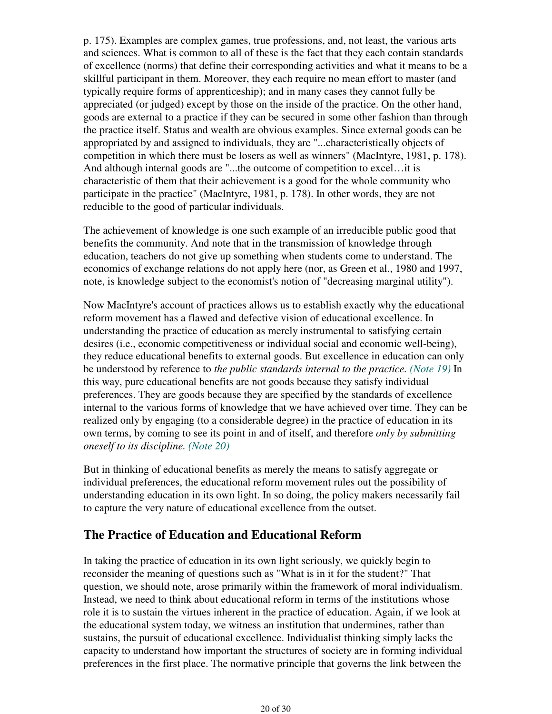p. 175). Examples are complex games, true professions, and, not least, the various arts and sciences. What is common to all of these is the fact that they each contain standards of excellence (norms) that define their corresponding activities and what it means to be a skillful participant in them. Moreover, they each require no mean effort to master (and typically require forms of apprenticeship); and in many cases they cannot fully be appreciated (or judged) except by those on the inside of the practice. On the other hand, goods are external to a practice if they can be secured in some other fashion than through the practice itself. Status and wealth are obvious examples. Since external goods can be appropriated by and assigned to individuals, they are "...characteristically objects of competition in which there must be losers as well as winners" (MacIntyre, 1981, p. 178). And although internal goods are "...the outcome of competition to excel...it is characteristic of them that their achievement is a good for the whole community who participate in the practice" (MacIntyre, 1981, p. 178). In other words, they are not reducible to the good of particular individuals.

The achievement of knowledge is one such example of an irreducible public good that benefits the community. And note that in the transmission of knowledge through education, teachers do not give up something when students come to understand. The economics of exchange relations do not apply here (nor, as Green et al., 1980 and 1997, note, is knowledge subject to the economist's notion of "decreasing marginal utility").

Now MacIntyre's account of practices allows us to establish exactly why the educational reform movement has a flawed and defective vision of educational excellence. In understanding the practice of education as merely instrumental to satisfying certain desires (i.e., economic competitiveness or individual social and economic well-being), they reduce educational benefits to external goods. But excellence in education can only be understood by reference to *the public standards internal to the practice. (Note 19)* In this way, pure educational benefits are not goods because they satisfy individual preferences. They are goods because they are specified by the standards of excellence internal to the various forms of knowledge that we have achieved over time. They can be realized only by engaging (to a considerable degree) in the practice of education in its own terms, by coming to see its point in and of itself, and therefore *only by submitting oneself to its discipline. (Note 20)*

But in thinking of educational benefits as merely the means to satisfy aggregate or individual preferences, the educational reform movement rules out the possibility of understanding education in its own light. In so doing, the policy makers necessarily fail to capture the very nature of educational excellence from the outset.

# **The Practice of Education and Educational Reform**

In taking the practice of education in its own light seriously, we quickly begin to reconsider the meaning of questions such as "What is in it for the student?" That question, we should note, arose primarily within the framework of moral individualism. Instead, we need to think about educational reform in terms of the institutions whose role it is to sustain the virtues inherent in the practice of education. Again, if we look at the educational system today, we witness an institution that undermines, rather than sustains, the pursuit of educational excellence. Individualist thinking simply lacks the capacity to understand how important the structures of society are in forming individual preferences in the first place. The normative principle that governs the link between the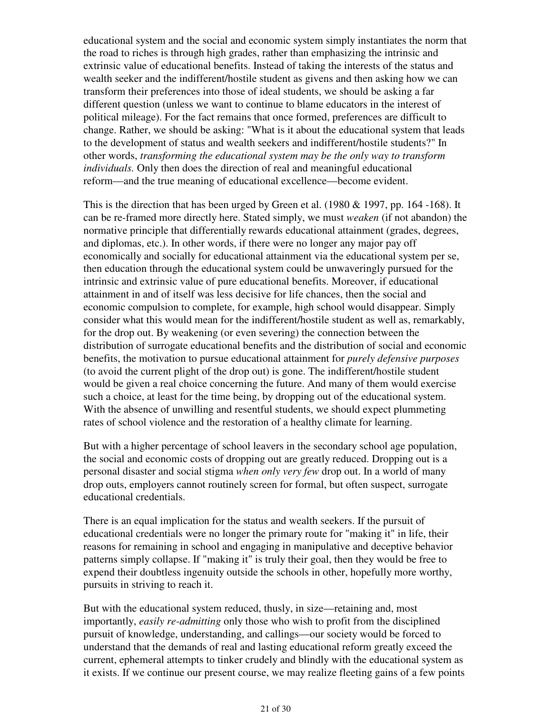educational system and the social and economic system simply instantiates the norm that the road to riches is through high grades, rather than emphasizing the intrinsic and extrinsic value of educational benefits. Instead of taking the interests of the status and wealth seeker and the indifferent/hostile student as givens and then asking how we can transform their preferences into those of ideal students, we should be asking a far different question (unless we want to continue to blame educators in the interest of political mileage). For the fact remains that once formed, preferences are difficult to change. Rather, we should be asking: "What is it about the educational system that leads to the development of status and wealth seekers and indifferent/hostile students?" In other words, *transforming the educational system may be the only way to transform individuals.* Only then does the direction of real and meaningful educational reform—and the true meaning of educational excellence—become evident.

This is the direction that has been urged by Green et al. (1980 & 1997, pp. 164 -168). It can be re-framed more directly here. Stated simply, we must *weaken* (if not abandon) the normative principle that differentially rewards educational attainment (grades, degrees, and diplomas, etc.). In other words, if there were no longer any major pay off economically and socially for educational attainment via the educational system per se, then education through the educational system could be unwaveringly pursued for the intrinsic and extrinsic value of pure educational benefits. Moreover, if educational attainment in and of itself was less decisive for life chances, then the social and economic compulsion to complete, for example, high school would disappear. Simply consider what this would mean for the indifferent/hostile student as well as, remarkably, for the drop out. By weakening (or even severing) the connection between the distribution of surrogate educational benefits and the distribution of social and economic benefits, the motivation to pursue educational attainment for *purely defensive purposes* (to avoid the current plight of the drop out) is gone. The indifferent/hostile student would be given a real choice concerning the future. And many of them would exercise such a choice, at least for the time being, by dropping out of the educational system. With the absence of unwilling and resentful students, we should expect plummeting rates of school violence and the restoration of a healthy climate for learning.

But with a higher percentage of school leavers in the secondary school age population, the social and economic costs of dropping out are greatly reduced. Dropping out is a personal disaster and social stigma *when only very few* drop out. In a world of many drop outs, employers cannot routinely screen for formal, but often suspect, surrogate educational credentials.

There is an equal implication for the status and wealth seekers. If the pursuit of educational credentials were no longer the primary route for "making it" in life, their reasons for remaining in school and engaging in manipulative and deceptive behavior patterns simply collapse. If "making it" is truly their goal, then they would be free to expend their doubtless ingenuity outside the schools in other, hopefully more worthy, pursuits in striving to reach it.

But with the educational system reduced, thusly, in size—retaining and, most importantly, *easily re-admitting* only those who wish to profit from the disciplined pursuit of knowledge, understanding, and callings—our society would be forced to understand that the demands of real and lasting educational reform greatly exceed the current, ephemeral attempts to tinker crudely and blindly with the educational system as it exists. If we continue our present course, we may realize fleeting gains of a few points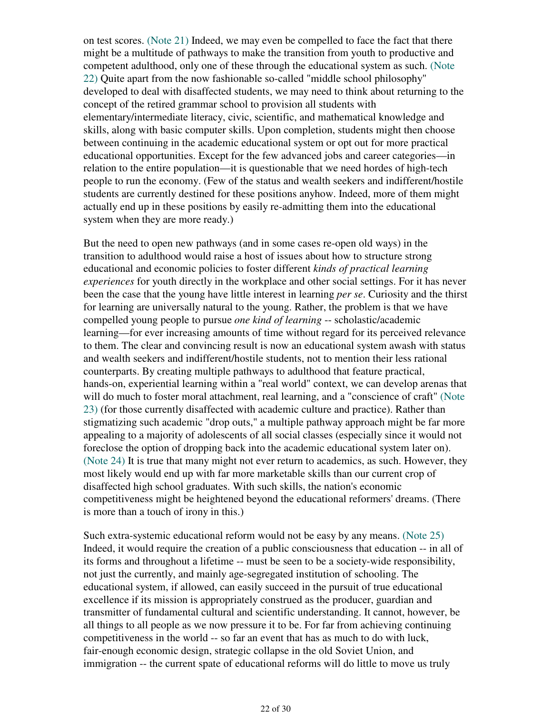on test scores. (Note 21) Indeed, we may even be compelled to face the fact that there might be a multitude of pathways to make the transition from youth to productive and competent adulthood, only one of these through the educational system as such. (Note 22) Quite apart from the now fashionable so-called "middle school philosophy" developed to deal with disaffected students, we may need to think about returning to the concept of the retired grammar school to provision all students with elementary/intermediate literacy, civic, scientific, and mathematical knowledge and skills, along with basic computer skills. Upon completion, students might then choose between continuing in the academic educational system or opt out for more practical educational opportunities. Except for the few advanced jobs and career categories—in relation to the entire population—it is questionable that we need hordes of high-tech people to run the economy. (Few of the status and wealth seekers and indifferent/hostile students are currently destined for these positions anyhow. Indeed, more of them might actually end up in these positions by easily re-admitting them into the educational system when they are more ready.)

But the need to open new pathways (and in some cases re-open old ways) in the transition to adulthood would raise a host of issues about how to structure strong educational and economic policies to foster different *kinds of practical learning experiences* for youth directly in the workplace and other social settings. For it has never been the case that the young have little interest in learning *per se*. Curiosity and the thirst for learning are universally natural to the young. Rather, the problem is that we have compelled young people to pursue *one kind of learning* -- scholastic/academic learning—for ever increasing amounts of time without regard for its perceived relevance to them. The clear and convincing result is now an educational system awash with status and wealth seekers and indifferent/hostile students, not to mention their less rational counterparts. By creating multiple pathways to adulthood that feature practical, hands-on, experiential learning within a "real world" context, we can develop arenas that will do much to foster moral attachment, real learning, and a "conscience of craft" (Note 23) (for those currently disaffected with academic culture and practice). Rather than stigmatizing such academic "drop outs," a multiple pathway approach might be far more appealing to a majority of adolescents of all social classes (especially since it would not foreclose the option of dropping back into the academic educational system later on). (Note 24) It is true that many might not ever return to academics, as such. However, they most likely would end up with far more marketable skills than our current crop of disaffected high school graduates. With such skills, the nation's economic competitiveness might be heightened beyond the educational reformers' dreams. (There is more than a touch of irony in this.)

Such extra-systemic educational reform would not be easy by any means. (Note 25) Indeed, it would require the creation of a public consciousness that education -- in all of its forms and throughout a lifetime -- must be seen to be a society-wide responsibility, not just the currently, and mainly age-segregated institution of schooling. The educational system, if allowed, can easily succeed in the pursuit of true educational excellence if its mission is appropriately construed as the producer, guardian and transmitter of fundamental cultural and scientific understanding. It cannot, however, be all things to all people as we now pressure it to be. For far from achieving continuing competitiveness in the world -- so far an event that has as much to do with luck, fair-enough economic design, strategic collapse in the old Soviet Union, and immigration -- the current spate of educational reforms will do little to move us truly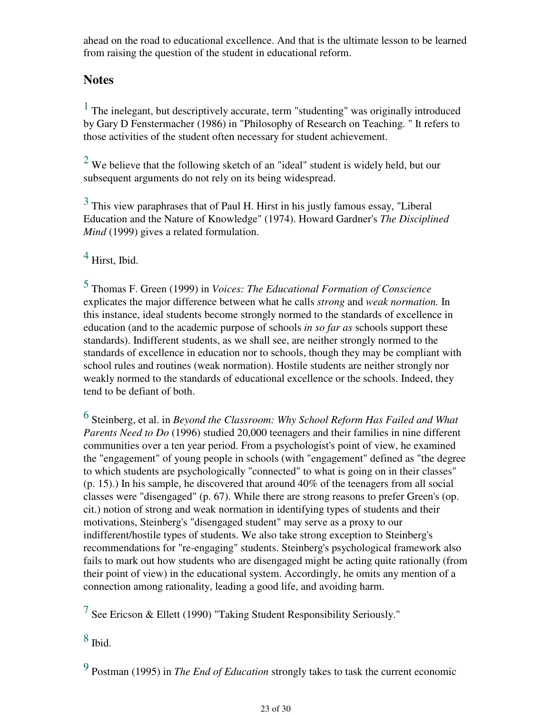ahead on the road to educational excellence. And that is the ultimate lesson to be learned from raising the question of the student in educational reform.

# **Notes**

 $<sup>1</sup>$  The inelegant, but descriptively accurate, term "studenting" was originally introduced</sup> by Gary D Fenstermacher (1986) in "Philosophy of Research on Teaching. " It refers to those activities of the student often necessary for student achievement.

 $2$  We believe that the following sketch of an "ideal" student is widely held, but our subsequent arguments do not rely on its being widespread.

 $3$  This view paraphrases that of Paul H. Hirst in his justly famous essay, "Liberal" Education and the Nature of Knowledge" (1974). Howard Gardner's *The Disciplined Mind* (1999) gives a related formulation.

 $<sup>4</sup>$  Hirst, Ibid.</sup>

5 Thomas F. Green (1999) in *Voices: The Educational Formation of Conscience* explicates the major difference between what he calls *strong* and *weak normation.* In this instance, ideal students become strongly normed to the standards of excellence in education (and to the academic purpose of schools *in so far as* schools support these standards). Indifferent students, as we shall see, are neither strongly normed to the standards of excellence in education nor to schools, though they may be compliant with school rules and routines (weak normation). Hostile students are neither strongly nor weakly normed to the standards of educational excellence or the schools. Indeed, they tend to be defiant of both.

6 Steinberg, et al. in *Beyond the Classroom: Why School Reform Has Failed and What Parents Need to Do* (1996) studied 20,000 teenagers and their families in nine different communities over a ten year period. From a psychologist's point of view, he examined the "engagement" of young people in schools (with "engagement" defined as "the degree to which students are psychologically "connected" to what is going on in their classes" (p. 15).) In his sample, he discovered that around 40% of the teenagers from all social classes were "disengaged" (p. 67). While there are strong reasons to prefer Green's (op. cit.) notion of strong and weak normation in identifying types of students and their motivations, Steinberg's "disengaged student" may serve as a proxy to our indifferent/hostile types of students. We also take strong exception to Steinberg's recommendations for "re-engaging" students. Steinberg's psychological framework also fails to mark out how students who are disengaged might be acting quite rationally (from their point of view) in the educational system. Accordingly, he omits any mention of a connection among rationality, leading a good life, and avoiding harm.

<sup>7</sup> See Ericson & Ellett (1990) "Taking Student Responsibility Seriously."

 $8$  Ibid.

9 Postman (1995) in *The End of Education* strongly takes to task the current economic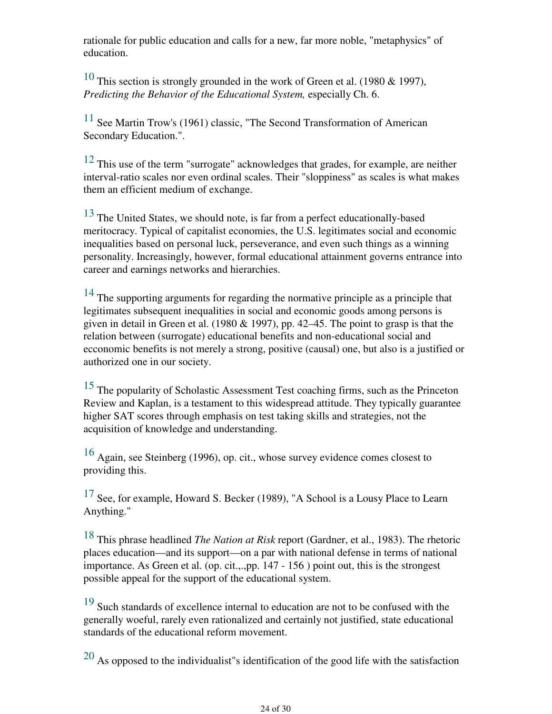rationale for public education and calls for a new, far more noble, "metaphysics" of education.

<sup>10</sup> This section is strongly grounded in the work of Green et al. (1980 & 1997), *Predicting the Behavior of the Educational System,* especially Ch. 6.

 $11$  See Martin Trow's (1961) classic, "The Second Transformation of American Secondary Education.".

 $12$  This use of the term "surrogate" acknowledges that grades, for example, are neither interval-ratio scales nor even ordinal scales. Their "sloppiness" as scales is what makes them an efficient medium of exchange.

<sup>13</sup> The United States, we should note, is far from a perfect educationally-based meritocracy. Typical of capitalist economies, the U.S. legitimates social and economic inequalities based on personal luck, perseverance, and even such things as a winning personality. Increasingly, however, formal educational attainment governs entrance into career and earnings networks and hierarchies.

 $14$  The supporting arguments for regarding the normative principle as a principle that legitimates subsequent inequalities in social and economic goods among persons is given in detail in Green et al. (1980  $& 1997$ ), pp. 42–45. The point to grasp is that the relation between (surrogate) educational benefits and non-educational social and ecconomic benefits is not merely a strong, positive (causal) one, but also is a justified or authorized one in our society.

15 The popularity of Scholastic Assessment Test coaching firms, such as the Princeton Review and Kaplan, is a testament to this widespread attitude. They typically guarantee higher SAT scores through emphasis on test taking skills and strategies, not the acquisition of knowledge and understanding.

 $16$  Again, see Steinberg (1996), op. cit., whose survey evidence comes closest to providing this.

 $17$  See, for example, Howard S. Becker (1989), "A School is a Lousy Place to Learn Anything."

18 This phrase headlined *The Nation at Risk* report (Gardner, et al., 1983). The rhetoric places education—and its support—on a par with national defense in terms of national importance. As Green et al. (op. cit.,.,pp. 147 - 156 ) point out, this is the strongest possible appeal for the support of the educational system.

<sup>19</sup> Such standards of excellence internal to education are not to be confused with the generally woeful, rarely even rationalized and certainly not justified, state educational standards of the educational reform movement.

20 As opposed to the individualist"s identification of the good life with the satisfaction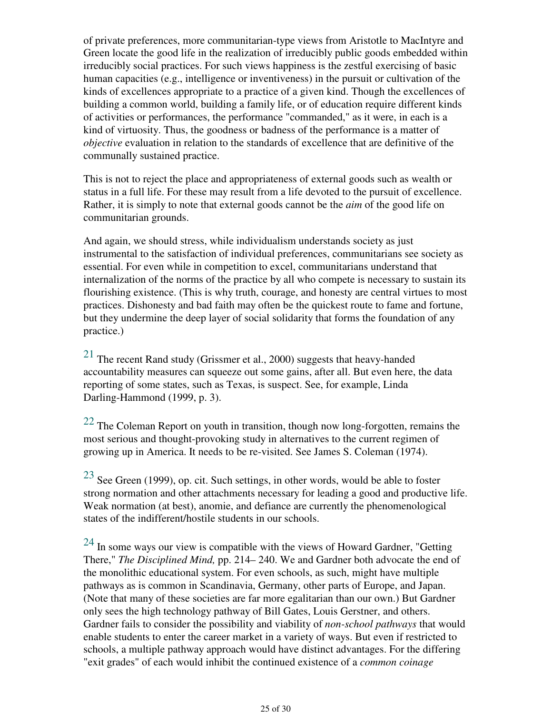of private preferences, more communitarian-type views from Aristotle to MacIntyre and Green locate the good life in the realization of irreducibly public goods embedded within irreducibly social practices. For such views happiness is the zestful exercising of basic human capacities (e.g., intelligence or inventiveness) in the pursuit or cultivation of the kinds of excellences appropriate to a practice of a given kind. Though the excellences of building a common world, building a family life, or of education require different kinds of activities or performances, the performance "commanded," as it were, in each is a kind of virtuosity. Thus, the goodness or badness of the performance is a matter of *objective* evaluation in relation to the standards of excellence that are definitive of the communally sustained practice.

This is not to reject the place and appropriateness of external goods such as wealth or status in a full life. For these may result from a life devoted to the pursuit of excellence. Rather, it is simply to note that external goods cannot be the *aim* of the good life on communitarian grounds.

And again, we should stress, while individualism understands society as just instrumental to the satisfaction of individual preferences, communitarians see society as essential. For even while in competition to excel, communitarians understand that internalization of the norms of the practice by all who compete is necessary to sustain its flourishing existence. (This is why truth, courage, and honesty are central virtues to most practices. Dishonesty and bad faith may often be the quickest route to fame and fortune, but they undermine the deep layer of social solidarity that forms the foundation of any practice.)

 $21$  The recent Rand study (Grissmer et al., 2000) suggests that heavy-handed accountability measures can squeeze out some gains, after all. But even here, the data reporting of some states, such as Texas, is suspect. See, for example, Linda Darling-Hammond (1999, p. 3).

 $22$  The Coleman Report on youth in transition, though now long-forgotten, remains the most serious and thought-provoking study in alternatives to the current regimen of growing up in America. It needs to be re-visited. See James S. Coleman (1974).

 $23$  See Green (1999), op. cit. Such settings, in other words, would be able to foster strong normation and other attachments necessary for leading a good and productive life. Weak normation (at best), anomie, and defiance are currently the phenomenological states of the indifferent/hostile students in our schools.

 $24$  In some ways our view is compatible with the views of Howard Gardner, "Getting There," *The Disciplined Mind,* pp. 214– 240. We and Gardner both advocate the end of the monolithic educational system. For even schools, as such, might have multiple pathways as is common in Scandinavia, Germany, other parts of Europe, and Japan. (Note that many of these societies are far more egalitarian than our own.) But Gardner only sees the high technology pathway of Bill Gates, Louis Gerstner, and others. Gardner fails to consider the possibility and viability of *non-school pathways* that would enable students to enter the career market in a variety of ways. But even if restricted to schools, a multiple pathway approach would have distinct advantages. For the differing "exit grades" of each would inhibit the continued existence of a *common coinage*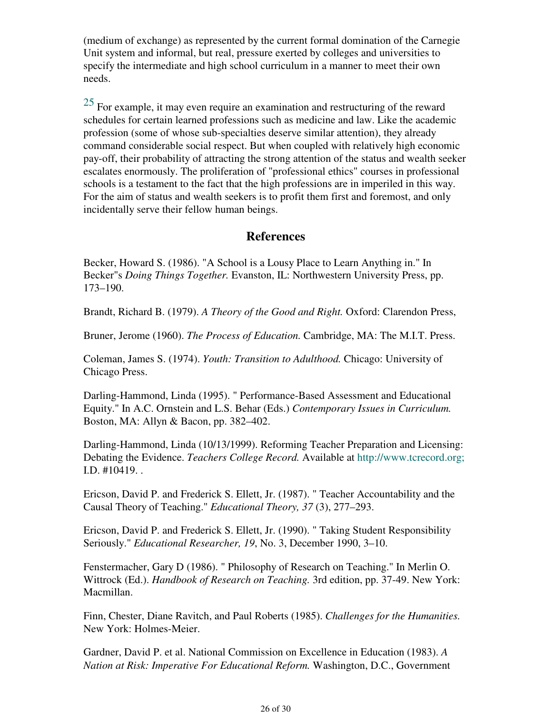(medium of exchange) as represented by the current formal domination of the Carnegie Unit system and informal, but real, pressure exerted by colleges and universities to specify the intermediate and high school curriculum in a manner to meet their own needs.

 $25$  For example, it may even require an examination and restructuring of the reward schedules for certain learned professions such as medicine and law. Like the academic profession (some of whose sub-specialties deserve similar attention), they already command considerable social respect. But when coupled with relatively high economic pay-off, their probability of attracting the strong attention of the status and wealth seeker escalates enormously. The proliferation of "professional ethics" courses in professional schools is a testament to the fact that the high professions are in imperiled in this way. For the aim of status and wealth seekers is to profit them first and foremost, and only incidentally serve their fellow human beings.

### **References**

Becker, Howard S. (1986). "A School is a Lousy Place to Learn Anything in." In Becker"s *Doing Things Together.* Evanston, IL: Northwestern University Press, pp. 173–190.

Brandt, Richard B. (1979). *A Theory of the Good and Right.* Oxford: Clarendon Press,

Bruner, Jerome (1960). *The Process of Education.* Cambridge, MA: The M.I.T. Press.

Coleman, James S. (1974). *Youth: Transition to Adulthood.* Chicago: University of Chicago Press.

Darling-Hammond, Linda (1995). " Performance-Based Assessment and Educational Equity." In A.C. Ornstein and L.S. Behar (Eds.) *Contemporary Issues in Curriculum.* Boston, MA: Allyn & Bacon, pp. 382–402.

Darling-Hammond, Linda (10/13/1999). Reforming Teacher Preparation and Licensing: Debating the Evidence. *Teachers College Record.* Available at http://www.tcrecord.org; I.D. #10419. .

Ericson, David P. and Frederick S. Ellett, Jr. (1987). " Teacher Accountability and the Causal Theory of Teaching." *Educational Theory, 37* (3), 277–293.

Ericson, David P. and Frederick S. Ellett, Jr. (1990). " Taking Student Responsibility Seriously." *Educational Researcher, 19*, No. 3, December 1990, 3–10.

Fenstermacher, Gary D (1986). " Philosophy of Research on Teaching." In Merlin O. Wittrock (Ed.). *Handbook of Research on Teaching.* 3rd edition, pp. 37-49. New York: Macmillan.

Finn, Chester, Diane Ravitch, and Paul Roberts (1985). *Challenges for the Humanities.* New York: Holmes-Meier.

Gardner, David P. et al. National Commission on Excellence in Education (1983). *A Nation at Risk: Imperative For Educational Reform.* Washington, D.C., Government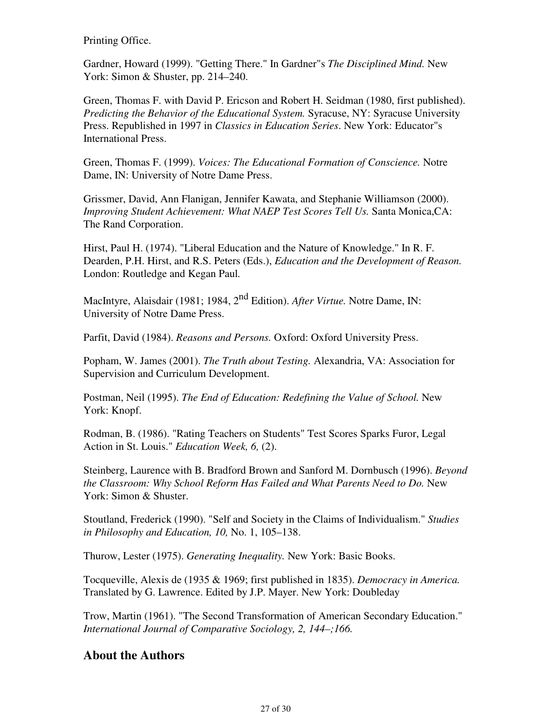Printing Office.

Gardner, Howard (1999). "Getting There." In Gardner"s *The Disciplined Mind.* New York: Simon & Shuster, pp. 214–240.

Green, Thomas F. with David P. Ericson and Robert H. Seidman (1980, first published). *Predicting the Behavior of the Educational System.* Syracuse, NY: Syracuse University Press. Republished in 1997 in *Classics in Education Series*. New York: Educator"s International Press.

Green, Thomas F. (1999). *Voices: The Educational Formation of Conscience.* Notre Dame, IN: University of Notre Dame Press.

Grissmer, David, Ann Flanigan, Jennifer Kawata, and Stephanie Williamson (2000). *Improving Student Achievement: What NAEP Test Scores Tell Us.* Santa Monica,CA: The Rand Corporation.

Hirst, Paul H. (1974). "Liberal Education and the Nature of Knowledge." In R. F. Dearden, P.H. Hirst, and R.S. Peters (Eds.), *Education and the Development of Reason.* London: Routledge and Kegan Paul*.*

MacIntyre, Alaisdair (1981; 1984, 2nd Edition). *After Virtue.* Notre Dame, IN: University of Notre Dame Press.

Parfit, David (1984). *Reasons and Persons.* Oxford: Oxford University Press.

Popham, W. James (2001). *The Truth about Testing.* Alexandria, VA: Association for Supervision and Curriculum Development.

Postman, Neil (1995). *The End of Education: Redefining the Value of School.* New York: Knopf.

Rodman, B. (1986). "Rating Teachers on Students" Test Scores Sparks Furor, Legal Action in St. Louis." *Education Week, 6,* (2).

Steinberg, Laurence with B. Bradford Brown and Sanford M. Dornbusch (1996). *Beyond the Classroom: Why School Reform Has Failed and What Parents Need to Do. New* York: Simon & Shuster.

Stoutland, Frederick (1990). "Self and Society in the Claims of Individualism." *Studies in Philosophy and Education, 10,* No. 1, 105–138.

Thurow, Lester (1975). *Generating Inequality.* New York: Basic Books.

Tocqueville, Alexis de (1935 & 1969; first published in 1835). *Democracy in America.* Translated by G. Lawrence. Edited by J.P. Mayer. New York: Doubleday

Trow, Martin (1961). "The Second Transformation of American Secondary Education." *International Journal of Comparative Sociology, 2, 144–;166.*

## **About the Authors**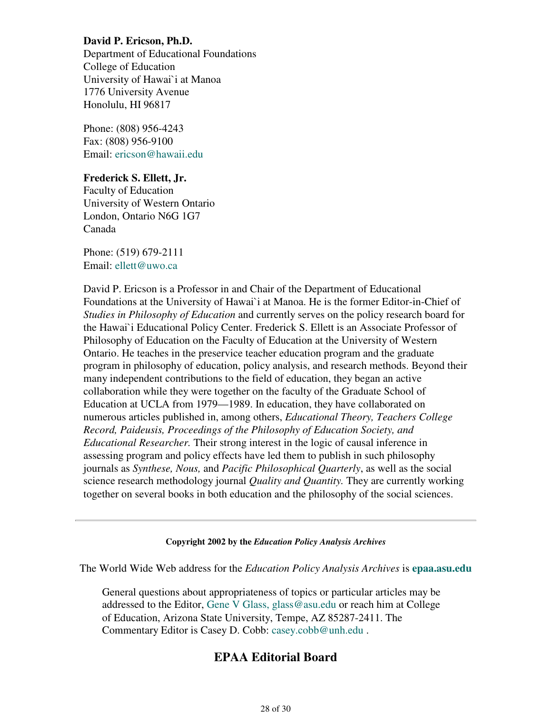### **David P. Ericson, Ph.D.**

Department of Educational Foundations College of Education University of Hawai`i at Manoa 1776 University Avenue Honolulu, HI 96817

Phone: (808) 956-4243 Fax: (808) 956-9100 Email: ericson@hawaii.edu

### **Frederick S. Ellett, Jr.**

Faculty of Education University of Western Ontario London, Ontario N6G 1G7 Canada

Phone: (519) 679-2111 Email: ellett@uwo.ca

David P. Ericson is a Professor in and Chair of the Department of Educational Foundations at the University of Hawai`i at Manoa. He is the former Editor-in-Chief of *Studies in Philosophy of Education* and currently serves on the policy research board for the Hawai`i Educational Policy Center. Frederick S. Ellett is an Associate Professor of Philosophy of Education on the Faculty of Education at the University of Western Ontario. He teaches in the preservice teacher education program and the graduate program in philosophy of education, policy analysis, and research methods. Beyond their many independent contributions to the field of education, they began an active collaboration while they were together on the faculty of the Graduate School of Education at UCLA from 1979—1989. In education, they have collaborated on numerous articles published in, among others, *Educational Theory, Teachers College Record, Paideusis, Proceedings of the Philosophy of Education Society, and Educational Researcher.* Their strong interest in the logic of causal inference in assessing program and policy effects have led them to publish in such philosophy journals as *Synthese, Nous,* and *Pacific Philosophical Quarterly*, as well as the social science research methodology journal *Quality and Quantity.* They are currently working together on several books in both education and the philosophy of the social sciences.

### **Copyright 2002 by the** *Education Policy Analysis Archives*

The World Wide Web address for the *Education Policy Analysis Archives* is **epaa.asu.edu**

General questions about appropriateness of topics or particular articles may be addressed to the Editor, Gene V Glass, glass@asu.edu or reach him at College of Education, Arizona State University, Tempe, AZ 85287-2411. The Commentary Editor is Casey D. Cobb: casey.cobb@unh.edu .

## **EPAA Editorial Board**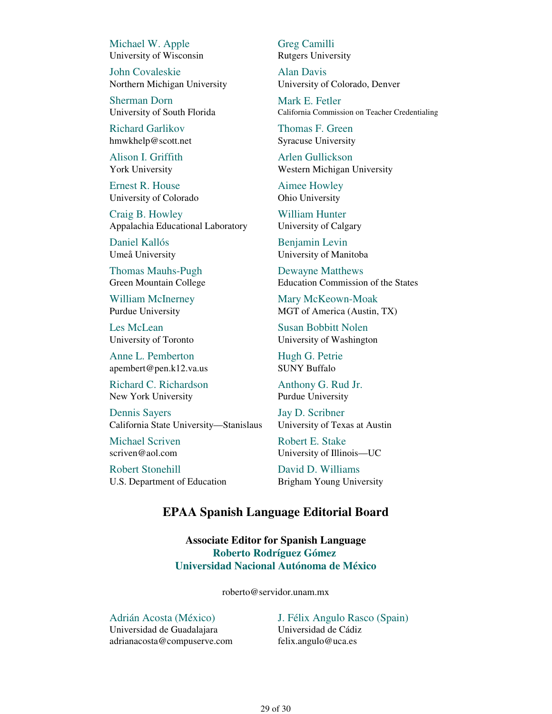Michael W. Apple University of Wisconsin

John Covaleskie Northern Michigan University

Sherman Dorn University of South Florida

Richard Garlikov hmwkhelp@scott.net

Alison I. Griffith York University

Ernest R. House University of Colorado

Craig B. Howley Appalachia Educational Laboratory

Daniel Kallós Umeå University

Thomas Mauhs-Pugh Green Mountain College

William McInerney Purdue University

Les McLean University of Toronto

Anne L. Pemberton apembert@pen.k12.va.us

Richard C. Richardson New York University

Dennis Sayers California State University—Stanislaus

Michael Scriven scriven@aol.com

Robert Stonehill U.S. Department of Education Greg Camilli Rutgers University

Alan Davis University of Colorado, Denver

Mark E. Fetler California Commission on Teacher Credentialing

Thomas F. Green Syracuse University

Arlen Gullickson Western Michigan University

Aimee Howley Ohio University

William Hunter University of Calgary

Benjamin Levin University of Manitoba

Dewayne Matthews Education Commission of the States

Mary McKeown-Moak MGT of America (Austin, TX)

Susan Bobbitt Nolen University of Washington

Hugh G. Petrie SUNY Buffalo

Anthony G. Rud Jr. Purdue University

Jay D. Scribner University of Texas at Austin

Robert E. Stake University of Illinois—UC

David D. Williams Brigham Young University

## **EPAA Spanish Language Editorial Board**

**Associate Editor for Spanish Language Roberto Rodríguez Gómez Universidad Nacional Autónoma de México**

roberto@servidor.unam.mx

Adrián Acosta (México) Universidad de Guadalajara adrianacosta@compuserve.com

J. Félix Angulo Rasco (Spain) Universidad de Cádiz felix.angulo@uca.es